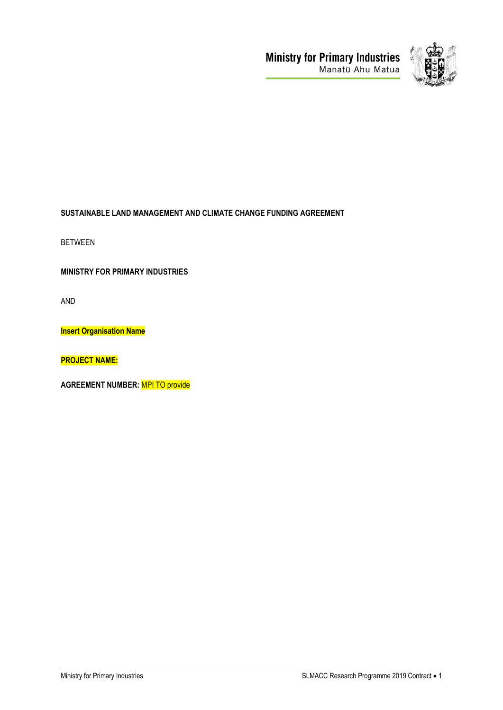



# **SUSTAINABLE LAND MANAGEMENT AND CLIMATE CHANGE FUNDING AGREEMENT**

BETWEEN

**MINISTRY FOR PRIMARY INDUSTRIES**

AND

**Insert Organisation Name**

**PROJECT NAME:**

**AGREEMENT NUMBER:** MPI TO provide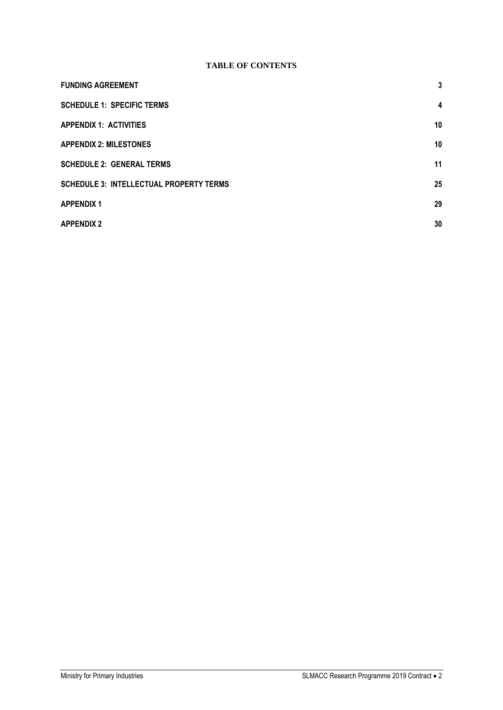# **TABLE OF CONTENTS**

| <b>FUNDING AGREEMENT</b>                       | 3                       |
|------------------------------------------------|-------------------------|
| <b>SCHEDULE 1: SPECIFIC TERMS</b>              | $\overline{\mathbf{4}}$ |
| <b>APPENDIX 1: ACTIVITIES</b>                  | 10                      |
| <b>APPENDIX 2: MILESTONES</b>                  | 10                      |
| <b>SCHEDULE 2: GENERAL TERMS</b>               | 11                      |
| <b>SCHEDULE 3: INTELLECTUAL PROPERTY TERMS</b> | 25                      |
| <b>APPENDIX 1</b>                              | 29                      |
| <b>APPENDIX 2</b>                              | 30                      |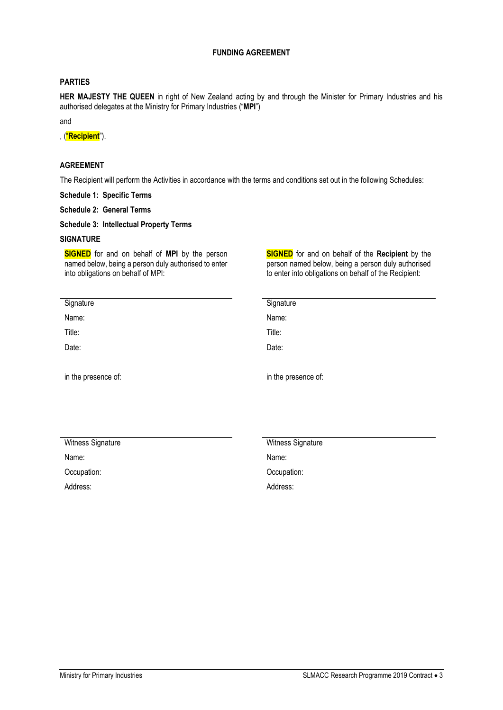# **FUNDING AGREEMENT**

# <span id="page-2-0"></span>**PARTIES**

**HER MAJESTY THE QUEEN** in right of New Zealand acting by and through the Minister for Primary Industries and his authorised delegates at the Ministry for Primary Industries ("**MPI**")

and

, ("**Recipient**").

# **AGREEMENT**

The Recipient will perform the Activities in accordance with the terms and conditions set out in the following Schedules:

**Schedule 1: Specific Terms** 

**Schedule 2: General Terms** 

**Schedule 3: Intellectual Property Terms**

## **SIGNATURE**

**SIGNED** for and on behalf of **MPI** by the person named below, being a person duly authorised to enter into obligations on behalf of MPI:

**SIGNED** for and on behalf of the **Recipient** by the person named below, being a person duly authorised to enter into obligations on behalf of the Recipient:

| Signature           | Signature           |
|---------------------|---------------------|
| Name:               | Name:               |
| Title:              | Title:              |
| Date:               | Date:               |
|                     |                     |
| in the presence of: | in the presence of: |
|                     |                     |
|                     |                     |
|                     |                     |

| Witness Signature | Witness Signature |
|-------------------|-------------------|
| Name:             | Name:             |
| Occupation:       | Occupation:       |
| Address:          | Address:          |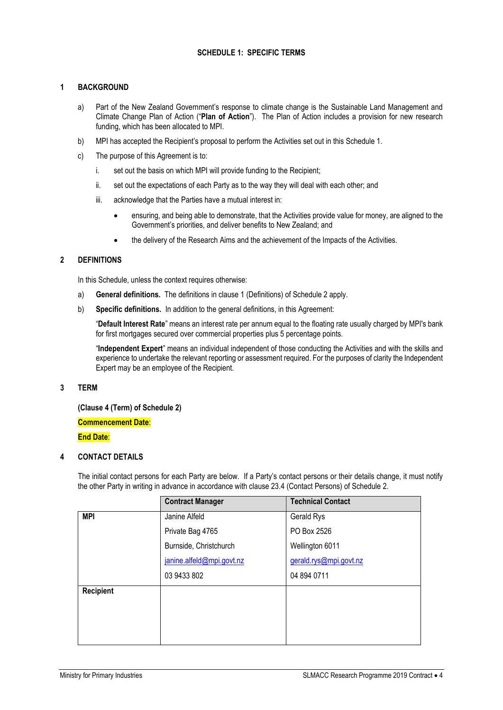# **SCHEDULE 1: SPECIFIC TERMS**

# <span id="page-3-0"></span>**1 BACKGROUND**

- a) Part of the New Zealand Government's response to climate change is the Sustainable Land Management and Climate Change Plan of Action ("**Plan of Action**"). The Plan of Action includes a provision for new research funding, which has been allocated to MPI.
- b) MPI has accepted the Recipient's proposal to perform the Activities set out in this Schedule 1.
- c) The purpose of this Agreement is to:
	- i. set out the basis on which MPI will provide funding to the Recipient;
	- ii. set out the expectations of each Party as to the way they will deal with each other; and
	- iii. acknowledge that the Parties have a mutual interest in:
		- ensuring, and being able to demonstrate, that the Activities provide value for money, are aligned to the Government's priorities, and deliver benefits to New Zealand; and
		- the delivery of the Research Aims and the achievement of the Impacts of the Activities.

# **2 DEFINITIONS**

In this Schedule, unless the context requires otherwise:

- a) **General definitions.** The definitions in clause 1 (Definitions) of Schedule 2 apply.
- b) **Specific definitions.** In addition to the general definitions, in this Agreement:

"**Default Interest Rate**" means an interest rate per annum equal to the floating rate usually charged by MPI's bank for first mortgages secured over commercial properties plus 5 percentage points.

"**Independent Expert**" means an individual independent of those conducting the Activities and with the skills and experience to undertake the relevant reporting or assessment required. For the purposes of clarity the Independent Expert may be an employee of the Recipient.

#### **3 TERM**

**(Clause 4 (Term) of Schedule 2)** 

**Commencement Date**:

**End Date**:

# **4 CONTACT DETAILS**

The initial contact persons for each Party are below. If a Party's contact persons or their details change, it must notify the other Party in writing in advance in accordance with clause 23.4 (Contact Persons) of Schedule 2.

|                  | <b>Contract Manager</b>   | <b>Technical Contact</b> |
|------------------|---------------------------|--------------------------|
| <b>MPI</b>       | Janine Alfeld             | Gerald Rys               |
|                  | Private Bag 4765          | PO Box 2526              |
|                  | Burnside, Christchurch    | Wellington 6011          |
|                  | janine.alfeld@mpi.govt.nz | gerald.rys@mpi.govt.nz   |
|                  | 03 9433 802               | 04 894 0711              |
| <b>Recipient</b> |                           |                          |
|                  |                           |                          |
|                  |                           |                          |
|                  |                           |                          |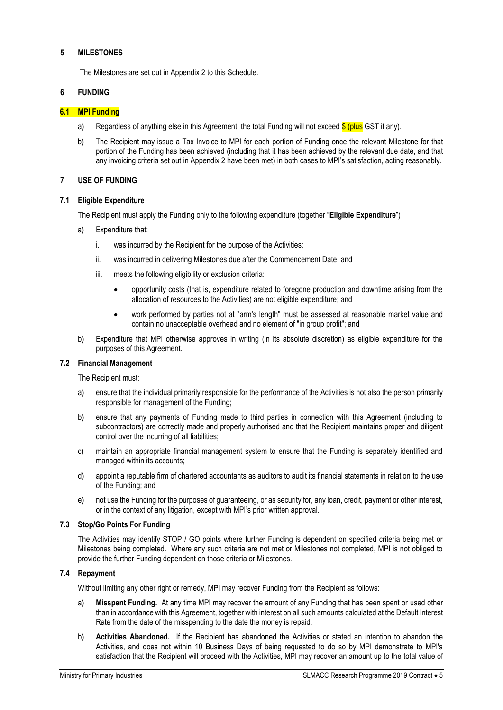#### **5 MILESTONES**

The Milestones are set out in Appendix 2 to this Schedule.

#### **6 FUNDING**

#### **6.1 MPI Funding**

- a) Regardless of anything else in this Agreement, the total Funding will not exceed  $\frac{1}{\sqrt{2}}$  (plus GST if any).
- b) The Recipient may issue a Tax Invoice to MPI for each portion of Funding once the relevant Milestone for that portion of the Funding has been achieved (including that it has been achieved by the relevant due date, and that any invoicing criteria set out in Appendix 2 have been met) in both cases to MPI's satisfaction, acting reasonably.

#### **7 USE OF FUNDING**

#### **7.1 Eligible Expenditure**

The Recipient must apply the Funding only to the following expenditure (together "**Eligible Expenditure**")

- a) Expenditure that:
	- i. was incurred by the Recipient for the purpose of the Activities;
	- ii. was incurred in delivering Milestones due after the Commencement Date; and
	- iii. meets the following eligibility or exclusion criteria:
		- opportunity costs (that is, expenditure related to foregone production and downtime arising from the allocation of resources to the Activities) are not eligible expenditure; and
		- work performed by parties not at "arm's length" must be assessed at reasonable market value and contain no unacceptable overhead and no element of "in group profit"; and
- b) Expenditure that MPI otherwise approves in writing (in its absolute discretion) as eligible expenditure for the purposes of this Agreement.

#### **7.2 Financial Management**

The Recipient must:

- a) ensure that the individual primarily responsible for the performance of the Activities is not also the person primarily responsible for management of the Funding;
- b) ensure that any payments of Funding made to third parties in connection with this Agreement (including to subcontractors) are correctly made and properly authorised and that the Recipient maintains proper and diligent control over the incurring of all liabilities;
- c) maintain an appropriate financial management system to ensure that the Funding is separately identified and managed within its accounts;
- d) appoint a reputable firm of chartered accountants as auditors to audit its financial statements in relation to the use of the Funding; and
- e) not use the Funding for the purposes of guaranteeing, or as security for, any loan, credit, payment or other interest, or in the context of any litigation, except with MPI's prior written approval.

#### **7.3 Stop/Go Points For Funding**

The Activities may identify STOP / GO points where further Funding is dependent on specified criteria being met or Milestones being completed. Where any such criteria are not met or Milestones not completed, MPI is not obliged to provide the further Funding dependent on those criteria or Milestones.

## **7.4 Repayment**

Without limiting any other right or remedy, MPI may recover Funding from the Recipient as follows:

- a) **Misspent Funding.** At any time MPI may recover the amount of any Funding that has been spent or used other than in accordance with this Agreement, together with interest on all such amounts calculated at the Default Interest Rate from the date of the misspending to the date the money is repaid.
- b) **Activities Abandoned.** If the Recipient has abandoned the Activities or stated an intention to abandon the Activities, and does not within 10 Business Days of being requested to do so by MPI demonstrate to MPI's satisfaction that the Recipient will proceed with the Activities, MPI may recover an amount up to the total value of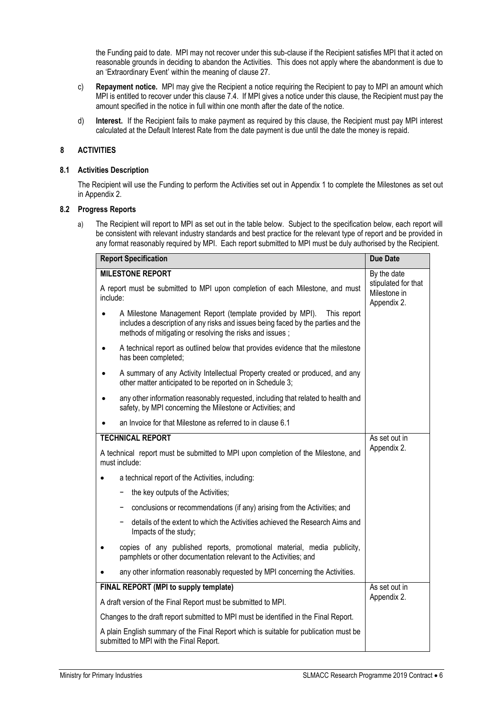the Funding paid to date. MPI may not recover under this sub-clause if the Recipient satisfies MPI that it acted on reasonable grounds in deciding to abandon the Activities. This does not apply where the abandonment is due to an 'Extraordinary Event' within the meaning of clause 27.

- c) **Repayment notice.** MPI may give the Recipient a notice requiring the Recipient to pay to MPI an amount which MPI is entitled to recover under this clause 7.4. If MPI gives a notice under this clause, the Recipient must pay the amount specified in the notice in full within one month after the date of the notice.
- d) **Interest.** If the Recipient fails to make payment as required by this clause, the Recipient must pay MPI interest calculated at the Default Interest Rate from the date payment is due until the date the money is repaid.

# **8 ACTIVITIES**

#### **8.1 Activities Description**

The Recipient will use the Funding to perform the Activities set out in Appendix 1 to complete the Milestones as set out in Appendix 2.

## **8.2 Progress Reports**

a) The Recipient will report to MPI as set out in the table below. Subject to the specification below, each report will be consistent with relevant industry standards and best practice for the relevant type of report and be provided in any format reasonably required by MPI. Each report submitted to MPI must be duly authorised by the Recipient.

| <b>Report Specification</b>                                                                                                                                                                                               | <b>Due Date</b>                                    |
|---------------------------------------------------------------------------------------------------------------------------------------------------------------------------------------------------------------------------|----------------------------------------------------|
| <b>MILESTONE REPORT</b>                                                                                                                                                                                                   | By the date                                        |
| A report must be submitted to MPI upon completion of each Milestone, and must<br>include:                                                                                                                                 | stipulated for that<br>Milestone in<br>Appendix 2. |
| A Milestone Management Report (template provided by MPI).<br>This report<br>includes a description of any risks and issues being faced by the parties and the<br>methods of mitigating or resolving the risks and issues; |                                                    |
| A technical report as outlined below that provides evidence that the milestone<br>has been completed;                                                                                                                     |                                                    |
| A summary of any Activity Intellectual Property created or produced, and any<br>$\bullet$<br>other matter anticipated to be reported on in Schedule 3;                                                                    |                                                    |
| any other information reasonably requested, including that related to health and<br>safety, by MPI concerning the Milestone or Activities; and                                                                            |                                                    |
| an Invoice for that Milestone as referred to in clause 6.1                                                                                                                                                                |                                                    |
| <b>TECHNICAL REPORT</b>                                                                                                                                                                                                   | As set out in                                      |
| A technical report must be submitted to MPI upon completion of the Milestone, and<br>must include:                                                                                                                        | Appendix 2.                                        |
| a technical report of the Activities, including:                                                                                                                                                                          |                                                    |
| the key outputs of the Activities;                                                                                                                                                                                        |                                                    |
| conclusions or recommendations (if any) arising from the Activities; and                                                                                                                                                  |                                                    |
| details of the extent to which the Activities achieved the Research Aims and<br>Impacts of the study;                                                                                                                     |                                                    |
| copies of any published reports, promotional material, media publicity,<br>pamphlets or other documentation relevant to the Activities; and                                                                               |                                                    |
| any other information reasonably requested by MPI concerning the Activities.                                                                                                                                              |                                                    |
| FINAL REPORT (MPI to supply template)                                                                                                                                                                                     | As set out in                                      |
| A draft version of the Final Report must be submitted to MPI.                                                                                                                                                             | Appendix 2.                                        |
| Changes to the draft report submitted to MPI must be identified in the Final Report.                                                                                                                                      |                                                    |
| A plain English summary of the Final Report which is suitable for publication must be<br>submitted to MPI with the Final Report.                                                                                          |                                                    |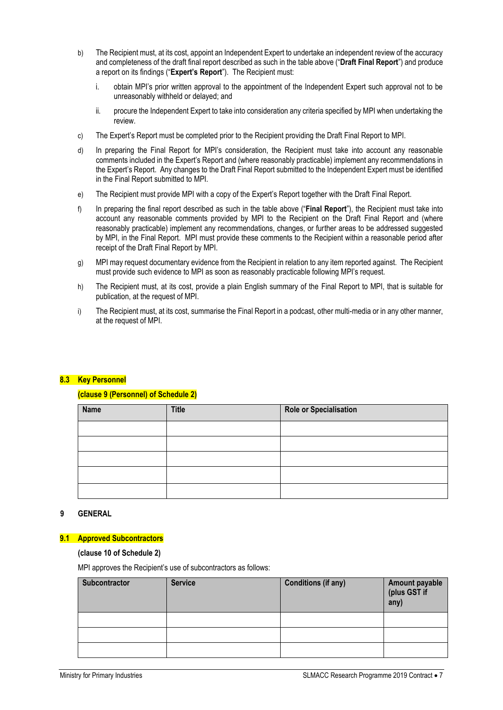- b) The Recipient must, at its cost, appoint an Independent Expert to undertake an independent review of the accuracy and completeness of the draft final report described as such in the table above ("**Draft Final Report**") and produce a report on its findings ("**Expert's Report**"). The Recipient must:
	- i. obtain MPI's prior written approval to the appointment of the Independent Expert such approval not to be unreasonably withheld or delayed; and
	- ii. procure the Independent Expert to take into consideration any criteria specified by MPI when undertaking the review.
- c) The Expert's Report must be completed prior to the Recipient providing the Draft Final Report to MPI.
- d) In preparing the Final Report for MPI's consideration, the Recipient must take into account any reasonable comments included in the Expert's Report and (where reasonably practicable) implement any recommendations in the Expert's Report. Any changes to the Draft Final Report submitted to the Independent Expert must be identified in the Final Report submitted to MPI.
- e) The Recipient must provide MPI with a copy of the Expert's Report together with the Draft Final Report.
- f) In preparing the final report described as such in the table above ("**Final Report**"), the Recipient must take into account any reasonable comments provided by MPI to the Recipient on the Draft Final Report and (where reasonably practicable) implement any recommendations, changes, or further areas to be addressed suggested by MPI, in the Final Report. MPI must provide these comments to the Recipient within a reasonable period after receipt of the Draft Final Report by MPI.
- g) MPI may request documentary evidence from the Recipient in relation to any item reported against. The Recipient must provide such evidence to MPI as soon as reasonably practicable following MPI's request.
- h) The Recipient must, at its cost, provide a plain English summary of the Final Report to MPI, that is suitable for publication, at the request of MPI.
- i) The Recipient must, at its cost, summarise the Final Report in a podcast, other multi-media or in any other manner, at the request of MPI.

# **8.3 Key Personnel**

# **(clause 9 (Personnel) of Schedule 2)**

| Name | <b>Title</b> | Role or Specialisation |
|------|--------------|------------------------|
|      |              |                        |
|      |              |                        |
|      |              |                        |
|      |              |                        |
|      |              |                        |

# **9 GENERAL**

#### **9.1 Approved Subcontractors**

#### **(clause 10 of Schedule 2)**

MPI approves the Recipient's use of subcontractors as follows:

| <b>Subcontractor</b> | <b>Service</b> | <b>Conditions (if any)</b> | Amount payable<br>(plus GST if<br>any) |
|----------------------|----------------|----------------------------|----------------------------------------|
|                      |                |                            |                                        |
|                      |                |                            |                                        |
|                      |                |                            |                                        |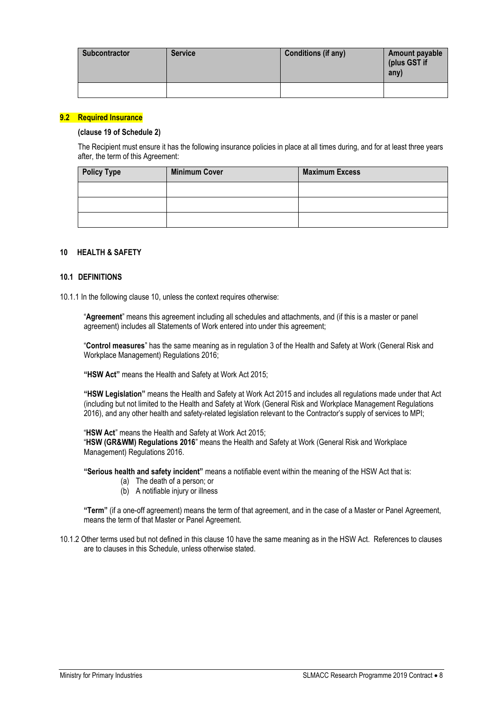| <b>Subcontractor</b> | <b>Service</b> | Conditions (if any) | Amount payable<br>(plus GST if<br>any) |
|----------------------|----------------|---------------------|----------------------------------------|
|                      |                |                     |                                        |

# **9.2 Required Insurance**

#### **(clause 19 of Schedule 2)**

The Recipient must ensure it has the following insurance policies in place at all times during, and for at least three years after, the term of this Agreement:

| <b>Policy Type</b> | <b>Minimum Cover</b> | <b>Maximum Excess</b> |
|--------------------|----------------------|-----------------------|
|                    |                      |                       |
|                    |                      |                       |
|                    |                      |                       |

# **10 HEALTH & SAFETY**

#### **10.1 DEFINITIONS**

10.1.1 In the following clause 10, unless the context requires otherwise:

"**Agreement**" means this agreement including all schedules and attachments, and (if this is a master or panel agreement) includes all Statements of Work entered into under this agreement;

"**Control measures**" has the same meaning as in regulation 3 of the Health and Safety at Work (General Risk and Workplace Management) Regulations 2016;

**"HSW Act"** means the Health and Safety at Work Act 2015;

**"HSW Legislation"** means the Health and Safety at Work Act 2015 and includes all regulations made under that Act (including but not limited to the Health and Safety at Work (General Risk and Workplace Management Regulations 2016), and any other health and safety-related legislation relevant to the Contractor's supply of services to MPI;

"**HSW Act**" means the Health and Safety at Work Act 2015;

"**HSW (GR&WM) Regulations 2016**" means the Health and Safety at Work (General Risk and Workplace Management) Regulations 2016.

**"Serious health and safety incident"** means a notifiable event within the meaning of the HSW Act that is:

- (a) The death of a person; or
- (b) A notifiable injury or illness

**"Term"** (if a one-off agreement) means the term of that agreement, and in the case of a Master or Panel Agreement, means the term of that Master or Panel Agreement.

10.1.2 Other terms used but not defined in this clause 10 have the same meaning as in the HSW Act. References to clauses are to clauses in this Schedule, unless otherwise stated.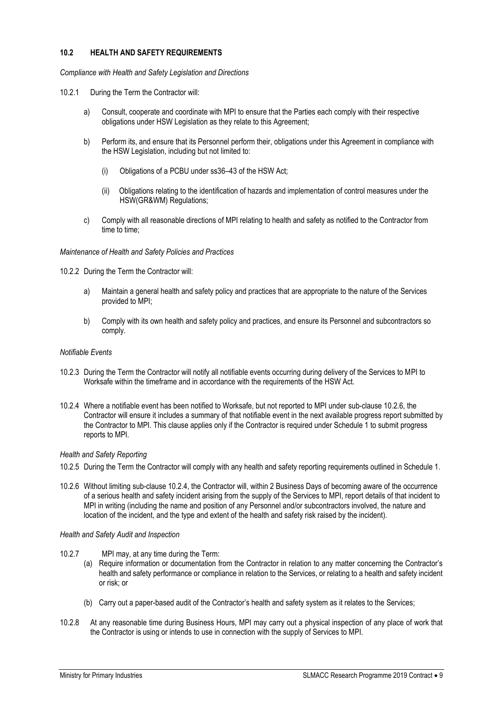# **10.2 HEALTH AND SAFETY REQUIREMENTS**

*Compliance with Health and Safety Legislation and Directions*

- 10.2.1 During the Term the Contractor will:
	- a) Consult, cooperate and coordinate with MPI to ensure that the Parties each comply with their respective obligations under HSW Legislation as they relate to this Agreement;
	- b) Perform its, and ensure that its Personnel perform their, obligations under this Agreement in compliance with the HSW Legislation, including but not limited to:
		- (i) Obligations of a PCBU under ss36–43 of the HSW Act;
		- (ii) Obligations relating to the identification of hazards and implementation of control measures under the HSW(GR&WM) Regulations;
	- c) Comply with all reasonable directions of MPI relating to health and safety as notified to the Contractor from time to time;

#### *Maintenance of Health and Safety Policies and Practices*

- 10.2.2 During the Term the Contractor will:
	- a) Maintain a general health and safety policy and practices that are appropriate to the nature of the Services provided to MPI;
	- b) Comply with its own health and safety policy and practices, and ensure its Personnel and subcontractors so comply.

#### *Notifiable Events*

- 10.2.3 During the Term the Contractor will notify all notifiable events occurring during delivery of the Services to MPI to Worksafe within the timeframe and in accordance with the requirements of the HSW Act.
- 10.2.4 Where a notifiable event has been notified to Worksafe, but not reported to MPI under sub-clause 10.2.6, the Contractor will ensure it includes a summary of that notifiable event in the next available progress report submitted by the Contractor to MPI. This clause applies only if the Contractor is required under Schedule 1 to submit progress reports to MPI.

# *Health and Safety Reporting*

- 10.2.5 During the Term the Contractor will comply with any health and safety reporting requirements outlined in Schedule 1.
- 10.2.6 Without limiting sub-clause 10.2.4, the Contractor will, within 2 Business Days of becoming aware of the occurrence of a serious health and safety incident arising from the supply of the Services to MPI, report details of that incident to MPI in writing (including the name and position of any Personnel and/or subcontractors involved, the nature and location of the incident, and the type and extent of the health and safety risk raised by the incident).

#### *Health and Safety Audit and Inspection*

- 10.2.7 MPI may, at any time during the Term:
	- (a) Require information or documentation from the Contractor in relation to any matter concerning the Contractor's health and safety performance or compliance in relation to the Services, or relating to a health and safety incident or risk; or
	- (b) Carry out a paper-based audit of the Contractor's health and safety system as it relates to the Services;
- 10.2.8 At any reasonable time during Business Hours, MPI may carry out a physical inspection of any place of work that the Contractor is using or intends to use in connection with the supply of Services to MPI.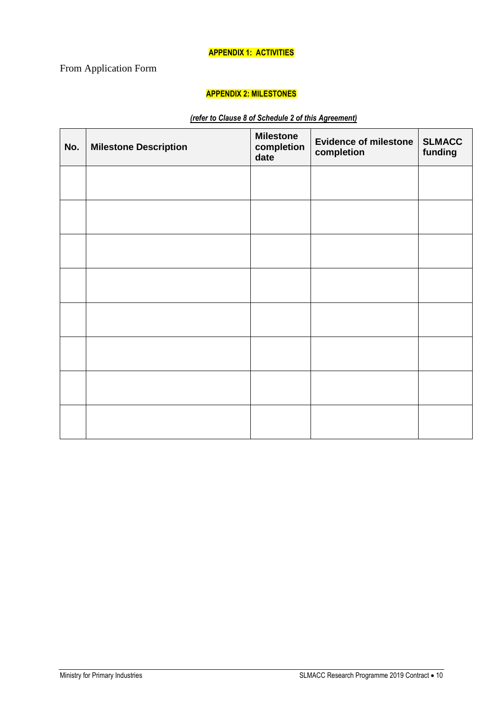# **APPENDIX 1: ACTIVITIES**

# <span id="page-9-1"></span><span id="page-9-0"></span>From Application Form

# **APPENDIX 2: MILESTONES**

# *(refer to Clause 8 of Schedule 2 of this Agreement)*

| No. | <b>Milestone Description</b> | <b>Milestone</b><br>completion<br>date | <b>Evidence of milestone</b><br>completion | <b>SLMACC</b><br>funding |
|-----|------------------------------|----------------------------------------|--------------------------------------------|--------------------------|
|     |                              |                                        |                                            |                          |
|     |                              |                                        |                                            |                          |
|     |                              |                                        |                                            |                          |
|     |                              |                                        |                                            |                          |
|     |                              |                                        |                                            |                          |
|     |                              |                                        |                                            |                          |
|     |                              |                                        |                                            |                          |
|     |                              |                                        |                                            |                          |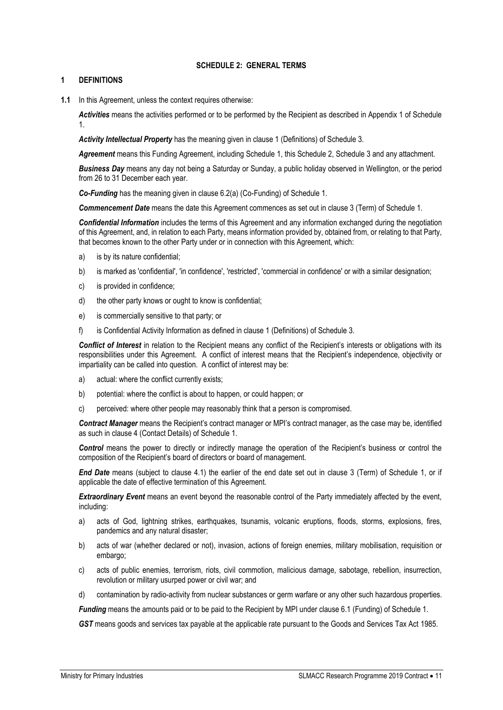# **SCHEDULE 2: GENERAL TERMS**

# <span id="page-10-0"></span>**1 DEFINITIONS**

**1.1** In this Agreement, unless the context requires otherwise:

*Activities* means the activities performed or to be performed by the Recipient as described in Appendix 1 of Schedule 1.

*Activity Intellectual Property* has the meaning given in clause 1 (Definitions) of Schedule 3.

*Agreement* means this Funding Agreement, including Schedule 1, this Schedule 2, Schedule 3 and any attachment.

*Business Day* means any day not being a Saturday or Sunday, a public holiday observed in Wellington, or the period from 26 to 31 December each year.

*Co-Funding* has the meaning given in clause 6.2(a) (Co-Funding) of Schedule 1.

*Commencement Date* means the date this Agreement commences as set out in clause 3 (Term) of Schedule 1.

*Confidential Information* includes the terms of this Agreement and any information exchanged during the negotiation of this Agreement, and, in relation to each Party, means information provided by, obtained from, or relating to that Party, that becomes known to the other Party under or in connection with this Agreement, which:

- a) is by its nature confidential;
- b) is marked as 'confidential', 'in confidence', 'restricted', 'commercial in confidence' or with a similar designation;
- c) is provided in confidence;
- d) the other party knows or ought to know is confidential;
- e) is commercially sensitive to that party; or
- f) is Confidential Activity Information as defined in clause 1 (Definitions) of Schedule 3.

*Conflict of Interest* in relation to the Recipient means any conflict of the Recipient's interests or obligations with its responsibilities under this Agreement. A conflict of interest means that the Recipient's independence, objectivity or impartiality can be called into question. A conflict of interest may be:

- a) actual: where the conflict currently exists;
- b) potential: where the conflict is about to happen, or could happen; or
- c) perceived: where other people may reasonably think that a person is compromised.

*Contract Manager* means the Recipient's contract manager or MPI's contract manager, as the case may be, identified as such in clause 4 (Contact Details) of Schedule 1.

*Control* means the power to directly or indirectly manage the operation of the Recipient's business or control the composition of the Recipient's board of directors or board of management.

*End Date* means (subject to clause 4.1) the earlier of the end date set out in clause 3 (Term) of Schedule 1, or if applicable the date of effective termination of this Agreement.

*Extraordinary Event* means an event beyond the reasonable control of the Party immediately affected by the event, including:

- a) acts of God, lightning strikes, earthquakes, tsunamis, volcanic eruptions, floods, storms, explosions, fires, pandemics and any natural disaster;
- b) acts of war (whether declared or not), invasion, actions of foreign enemies, military mobilisation, requisition or embargo;
- c) acts of public enemies, terrorism, riots, civil commotion, malicious damage, sabotage, rebellion, insurrection, revolution or military usurped power or civil war; and
- d) contamination by radio-activity from nuclear substances or germ warfare or any other such hazardous properties.

*Funding* means the amounts paid or to be paid to the Recipient by MPI under clause 6.1 (Funding) of Schedule 1.

*GST* means goods and services tax payable at the applicable rate pursuant to the Goods and Services Tax Act 1985.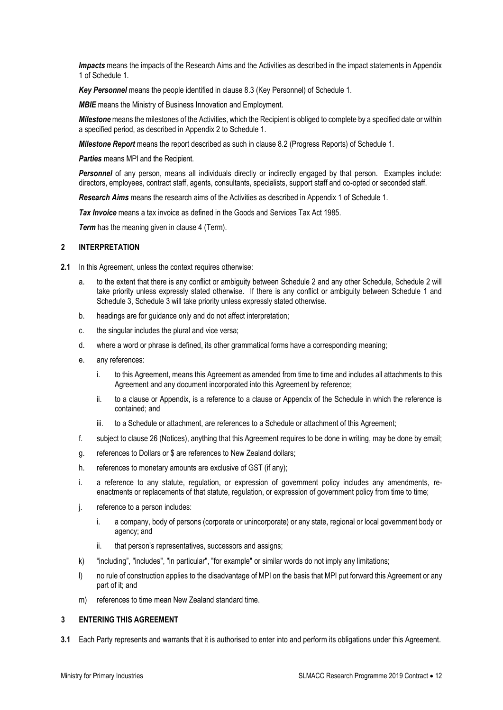*Impacts* means the impacts of the Research Aims and the Activities as described in the impact statements in Appendix 1 of Schedule 1.

*Key Personnel* means the people identified in clause 8.3 (Key Personnel) of Schedule 1.

*MBIE* means the Ministry of Business Innovation and Employment.

*Milestone* means the milestones of the Activities, which the Recipient is obliged to complete by a specified date or within a specified period, as described in Appendix 2 to Schedule 1.

*Milestone Report* means the report described as such in clause 8.2 (Progress Reports) of Schedule 1.

*Parties* means MPI and the Recipient.

*Personnel* of any person, means all individuals directly or indirectly engaged by that person. Examples include: directors, employees, contract staff, agents, consultants, specialists, support staff and co-opted or seconded staff.

*Research Aims* means the research aims of the Activities as described in Appendix 1 of Schedule 1.

*Tax Invoice* means a tax invoice as defined in the Goods and Services Tax Act 1985.

*Term* has the meaning given in clause 4 (Term).

#### **2 INTERPRETATION**

- **2.1** In this Agreement, unless the context requires otherwise:
	- a. to the extent that there is any conflict or ambiguity between Schedule 2 and any other Schedule, Schedule 2 will take priority unless expressly stated otherwise. If there is any conflict or ambiguity between Schedule 1 and Schedule 3, Schedule 3 will take priority unless expressly stated otherwise.
	- b. headings are for guidance only and do not affect interpretation;
	- c. the singular includes the plural and vice versa;
	- d. where a word or phrase is defined, its other grammatical forms have a corresponding meaning;
	- e. any references:
		- i. to this Agreement, means this Agreement as amended from time to time and includes all attachments to this Agreement and any document incorporated into this Agreement by reference;
		- ii. to a clause or Appendix, is a reference to a clause or Appendix of the Schedule in which the reference is contained; and
		- iii. to a Schedule or attachment, are references to a Schedule or attachment of this Agreement;
	- f. subject to clause 26 (Notices), anything that this Agreement requires to be done in writing, may be done by email;
	- g. references to Dollars or \$ are references to New Zealand dollars;
	- h. references to monetary amounts are exclusive of GST (if any);
	- i. a reference to any statute, regulation, or expression of government policy includes any amendments, reenactments or replacements of that statute, regulation, or expression of government policy from time to time;
	- j. reference to a person includes:
		- i. a company, body of persons (corporate or unincorporate) or any state, regional or local government body or agency; and
		- ii. that person's representatives, successors and assigns;
	- k) "including", "includes", "in particular", "for example" or similar words do not imply any limitations;
	- l) no rule of construction applies to the disadvantage of MPI on the basis that MPI put forward this Agreement or any part of it; and
	- m) references to time mean New Zealand standard time.

#### **3 ENTERING THIS AGREEMENT**

**3.1** Each Party represents and warrants that it is authorised to enter into and perform its obligations under this Agreement.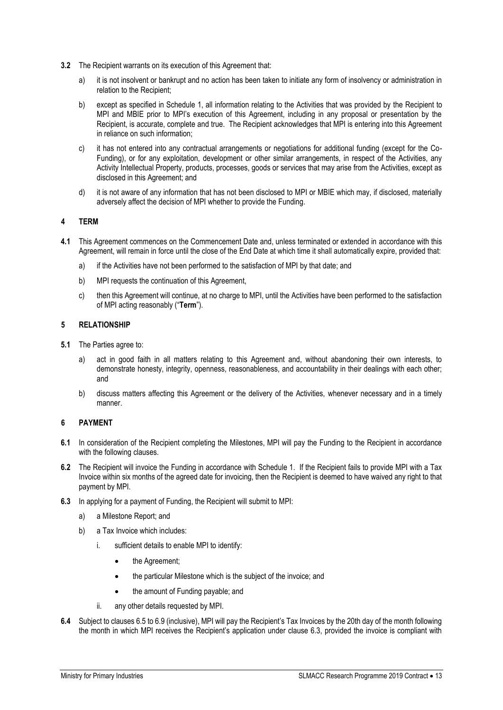- **3.2** The Recipient warrants on its execution of this Agreement that:
	- a) it is not insolvent or bankrupt and no action has been taken to initiate any form of insolvency or administration in relation to the Recipient;
	- b) except as specified in Schedule 1, all information relating to the Activities that was provided by the Recipient to MPI and MBIE prior to MPI's execution of this Agreement, including in any proposal or presentation by the Recipient, is accurate, complete and true. The Recipient acknowledges that MPI is entering into this Agreement in reliance on such information;
	- c) it has not entered into any contractual arrangements or negotiations for additional funding (except for the Co-Funding), or for any exploitation, development or other similar arrangements, in respect of the Activities, any Activity Intellectual Property, products, processes, goods or services that may arise from the Activities, except as disclosed in this Agreement; and
	- d) it is not aware of any information that has not been disclosed to MPI or MBIE which may, if disclosed, materially adversely affect the decision of MPI whether to provide the Funding.

# **4 TERM**

- **4.1** This Agreement commences on the Commencement Date and, unless terminated or extended in accordance with this Agreement, will remain in force until the close of the End Date at which time it shall automatically expire, provided that:
	- a) if the Activities have not been performed to the satisfaction of MPI by that date; and
	- b) MPI requests the continuation of this Agreement,
	- c) then this Agreement will continue, at no charge to MPI, until the Activities have been performed to the satisfaction of MPI acting reasonably ("**Term**").

#### **5 RELATIONSHIP**

- **5.1** The Parties agree to:
	- a) act in good faith in all matters relating to this Agreement and, without abandoning their own interests, to demonstrate honesty, integrity, openness, reasonableness, and accountability in their dealings with each other; and
	- b) discuss matters affecting this Agreement or the delivery of the Activities, whenever necessary and in a timely manner.

#### **6 PAYMENT**

- **6.1** In consideration of the Recipient completing the Milestones, MPI will pay the Funding to the Recipient in accordance with the following clauses.
- **6.2** The Recipient will invoice the Funding in accordance with Schedule 1. If the Recipient fails to provide MPI with a Tax Invoice within six months of the agreed date for invoicing, then the Recipient is deemed to have waived any right to that payment by MPI.
- **6.3** In applying for a payment of Funding, the Recipient will submit to MPI:
	- a) a Milestone Report; and
	- b) a Tax Invoice which includes:
		- i. sufficient details to enable MPI to identify:
			- the Agreement;
			- the particular Milestone which is the subject of the invoice; and
			- the amount of Funding payable; and
		- ii. any other details requested by MPI.
- **6.4** Subject to clauses 6.5 to 6.9 (inclusive), MPI will pay the Recipient's Tax Invoices by the 20th day of the month following the month in which MPI receives the Recipient's application under clause 6.3, provided the invoice is compliant with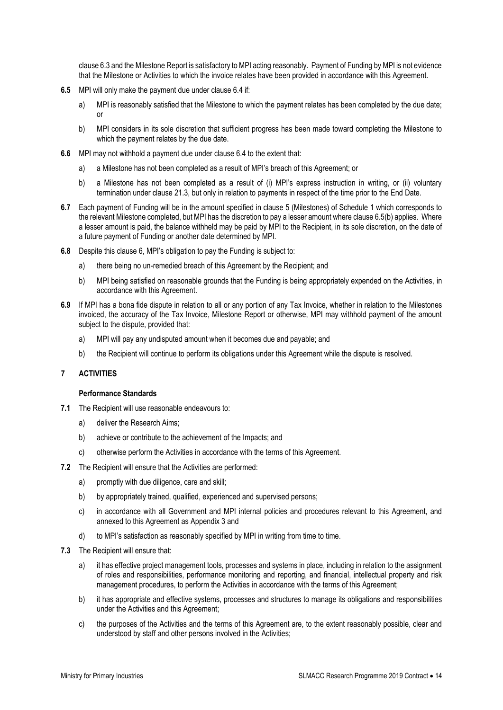clause 6.3 and the Milestone Report is satisfactory to MPI acting reasonably. Payment of Funding by MPI is not evidence that the Milestone or Activities to which the invoice relates have been provided in accordance with this Agreement.

- **6.5** MPI will only make the payment due under clause 6.4 if:
	- a) MPI is reasonably satisfied that the Milestone to which the payment relates has been completed by the due date; or
	- b) MPI considers in its sole discretion that sufficient progress has been made toward completing the Milestone to which the payment relates by the due date.
- **6.6** MPI may not withhold a payment due under clause 6.4 to the extent that:
	- a) a Milestone has not been completed as a result of MPI's breach of this Agreement; or
	- b) a Milestone has not been completed as a result of (i) MPI's express instruction in writing, or (ii) voluntary termination under clause 21.3, but only in relation to payments in respect of the time prior to the End Date.
- **6.7** Each payment of Funding will be in the amount specified in clause 5 (Milestones) of Schedule 1 which corresponds to the relevant Milestone completed, but MPI has the discretion to pay a lesser amount where clause 6.5(b) applies. Where a lesser amount is paid, the balance withheld may be paid by MPI to the Recipient, in its sole discretion, on the date of a future payment of Funding or another date determined by MPI.
- **6.8** Despite this clause 6, MPI's obligation to pay the Funding is subject to:
	- a) there being no un-remedied breach of this Agreement by the Recipient; and
	- b) MPI being satisfied on reasonable grounds that the Funding is being appropriately expended on the Activities, in accordance with this Agreement.
- **6.9** If MPI has a bona fide dispute in relation to all or any portion of any Tax Invoice, whether in relation to the Milestones invoiced, the accuracy of the Tax Invoice, Milestone Report or otherwise, MPI may withhold payment of the amount subject to the dispute, provided that:
	- a) MPI will pay any undisputed amount when it becomes due and payable; and
	- b) the Recipient will continue to perform its obligations under this Agreement while the dispute is resolved.

#### **7 ACTIVITIES**

#### **Performance Standards**

- **7.1** The Recipient will use reasonable endeavours to:
	- a) deliver the Research Aims;
	- b) achieve or contribute to the achievement of the Impacts; and
	- c) otherwise perform the Activities in accordance with the terms of this Agreement.
- **7.2** The Recipient will ensure that the Activities are performed:
	- a) promptly with due diligence, care and skill;
	- b) by appropriately trained, qualified, experienced and supervised persons;
	- c) in accordance with all Government and MPI internal policies and procedures relevant to this Agreement, and annexed to this Agreement as Appendix 3 and
	- d) to MPI's satisfaction as reasonably specified by MPI in writing from time to time.
- **7.3** The Recipient will ensure that:
	- a) it has effective project management tools, processes and systems in place, including in relation to the assignment of roles and responsibilities, performance monitoring and reporting, and financial, intellectual property and risk management procedures, to perform the Activities in accordance with the terms of this Agreement;
	- b) it has appropriate and effective systems, processes and structures to manage its obligations and responsibilities under the Activities and this Agreement;
	- c) the purposes of the Activities and the terms of this Agreement are, to the extent reasonably possible, clear and understood by staff and other persons involved in the Activities;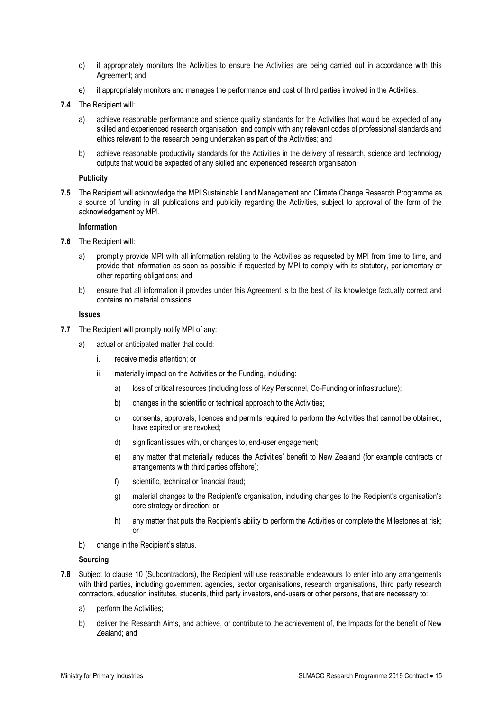- d) it appropriately monitors the Activities to ensure the Activities are being carried out in accordance with this Agreement; and
- e) it appropriately monitors and manages the performance and cost of third parties involved in the Activities.
- **7.4** The Recipient will:
	- a) achieve reasonable performance and science quality standards for the Activities that would be expected of any skilled and experienced research organisation, and comply with any relevant codes of professional standards and ethics relevant to the research being undertaken as part of the Activities; and
	- b) achieve reasonable productivity standards for the Activities in the delivery of research, science and technology outputs that would be expected of any skilled and experienced research organisation.

#### **Publicity**

**7.5** The Recipient will acknowledge the MPI Sustainable Land Management and Climate Change Research Programme as a source of funding in all publications and publicity regarding the Activities, subject to approval of the form of the acknowledgement by MPI.

#### **Information**

- **7.6** The Recipient will:
	- a) promptly provide MPI with all information relating to the Activities as requested by MPI from time to time, and provide that information as soon as possible if requested by MPI to comply with its statutory, parliamentary or other reporting obligations; and
	- b) ensure that all information it provides under this Agreement is to the best of its knowledge factually correct and contains no material omissions.

#### **Issues**

- **7.7** The Recipient will promptly notify MPI of any:
	- a) actual or anticipated matter that could:
		- i. receive media attention; or
		- ii. materially impact on the Activities or the Funding, including:
			- a) loss of critical resources (including loss of Key Personnel, Co-Funding or infrastructure);
			- b) changes in the scientific or technical approach to the Activities;
			- c) consents, approvals, licences and permits required to perform the Activities that cannot be obtained, have expired or are revoked;
			- d) significant issues with, or changes to, end-user engagement;
			- e) any matter that materially reduces the Activities' benefit to New Zealand (for example contracts or arrangements with third parties offshore);
			- f) scientific, technical or financial fraud;
			- g) material changes to the Recipient's organisation, including changes to the Recipient's organisation's core strategy or direction; or
			- h) any matter that puts the Recipient's ability to perform the Activities or complete the Milestones at risk; or
	- b) change in the Recipient's status.

#### **Sourcing**

- **7.8** Subject to clause 10 (Subcontractors), the Recipient will use reasonable endeavours to enter into any arrangements with third parties, including government agencies, sector organisations, research organisations, third party research contractors, education institutes, students, third party investors, end-users or other persons, that are necessary to:
	- a) perform the Activities;
	- b) deliver the Research Aims, and achieve, or contribute to the achievement of, the Impacts for the benefit of New Zealand; and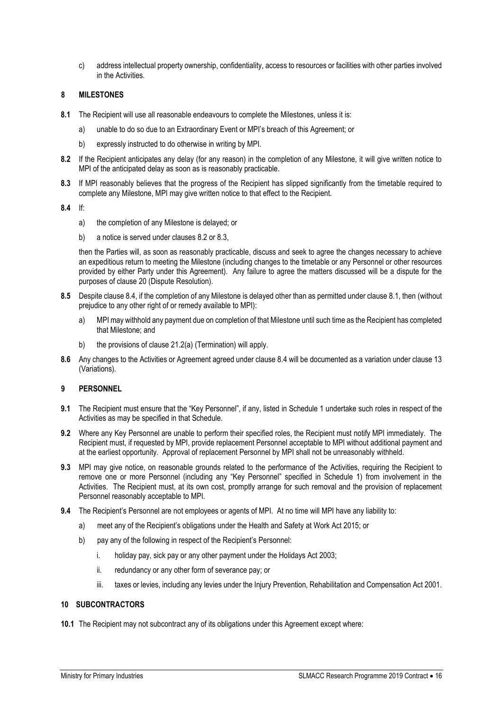c) address intellectual property ownership, confidentiality, access to resources or facilities with other parties involved in the Activities.

# **8 MILESTONES**

- **8.1** The Recipient will use all reasonable endeavours to complete the Milestones, unless it is:
	- a) unable to do so due to an Extraordinary Event or MPI's breach of this Agreement; or
	- b) expressly instructed to do otherwise in writing by MPI.
- **8.2** If the Recipient anticipates any delay (for any reason) in the completion of any Milestone, it will give written notice to MPI of the anticipated delay as soon as is reasonably practicable.
- **8.3** If MPI reasonably believes that the progress of the Recipient has slipped significantly from the timetable required to complete any Milestone, MPI may give written notice to that effect to the Recipient.

**8.4** If:

- a) the completion of any Milestone is delayed; or
- b) a notice is served under clauses 8.2 or 8.3,

then the Parties will, as soon as reasonably practicable, discuss and seek to agree the changes necessary to achieve an expeditious return to meeting the Milestone (including changes to the timetable or any Personnel or other resources provided by either Party under this Agreement). Any failure to agree the matters discussed will be a dispute for the purposes of clause 20 (Dispute Resolution).

- **8.5** Despite clause 8.4, if the completion of any Milestone is delayed other than as permitted under clause 8.1, then (without prejudice to any other right of or remedy available to MPI):
	- a) MPI may withhold any payment due on completion of that Milestone until such time as the Recipient has completed that Milestone; and
	- b) the provisions of clause 21.2(a) (Termination) will apply.
- **8.6** Any changes to the Activities or Agreement agreed under clause 8.4 will be documented as a variation under clause 13 (Variations).

#### **9 PERSONNEL**

- **9.1** The Recipient must ensure that the "Key Personnel", if any, listed in Schedule 1 undertake such roles in respect of the Activities as may be specified in that Schedule.
- **9.2** Where any Key Personnel are unable to perform their specified roles, the Recipient must notify MPI immediately. The Recipient must, if requested by MPI, provide replacement Personnel acceptable to MPI without additional payment and at the earliest opportunity. Approval of replacement Personnel by MPI shall not be unreasonably withheld.
- **9.3** MPI may give notice, on reasonable grounds related to the performance of the Activities, requiring the Recipient to remove one or more Personnel (including any "Key Personnel" specified in Schedule 1) from involvement in the Activities. The Recipient must, at its own cost, promptly arrange for such removal and the provision of replacement Personnel reasonably acceptable to MPI.
- **9.4** The Recipient's Personnel are not employees or agents of MPI. At no time will MPI have any liability to:
	- a) meet any of the Recipient's obligations under the Health and Safety at Work Act 2015; or
	- b) pay any of the following in respect of the Recipient's Personnel:
		- i. holiday pay, sick pay or any other payment under the Holidays Act 2003;
		- ii. redundancy or any other form of severance pay; or
		- iii. taxes or levies, including any levies under the Injury Prevention, Rehabilitation and Compensation Act 2001.

#### **10 SUBCONTRACTORS**

**10.1** The Recipient may not subcontract any of its obligations under this Agreement except where: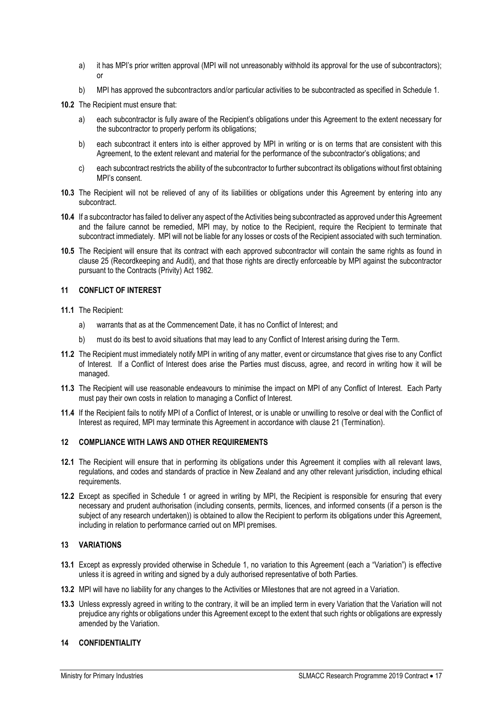- a) it has MPI's prior written approval (MPI will not unreasonably withhold its approval for the use of subcontractors); or
- b) MPI has approved the subcontractors and/or particular activities to be subcontracted as specified in Schedule 1.
- **10.2** The Recipient must ensure that:
	- a) each subcontractor is fully aware of the Recipient's obligations under this Agreement to the extent necessary for the subcontractor to properly perform its obligations;
	- b) each subcontract it enters into is either approved by MPI in writing or is on terms that are consistent with this Agreement, to the extent relevant and material for the performance of the subcontractor's obligations; and
	- c) each subcontract restricts the ability of the subcontractor to further subcontract its obligations without first obtaining MPI's consent.
- **10.3** The Recipient will not be relieved of any of its liabilities or obligations under this Agreement by entering into any subcontract.
- **10.4** If a subcontractor has failed to deliver any aspect of the Activities being subcontracted as approved under this Agreement and the failure cannot be remedied, MPI may, by notice to the Recipient, require the Recipient to terminate that subcontract immediately. MPI will not be liable for any losses or costs of the Recipient associated with such termination.
- **10.5** The Recipient will ensure that its contract with each approved subcontractor will contain the same rights as found in clause 25 (Recordkeeping and Audit), and that those rights are directly enforceable by MPI against the subcontractor pursuant to the Contracts (Privity) Act 1982.

# **11 CONFLICT OF INTEREST**

- **11.1** The Recipient:
	- a) warrants that as at the Commencement Date, it has no Conflict of Interest; and
	- b) must do its best to avoid situations that may lead to any Conflict of Interest arising during the Term.
- **11.2** The Recipient must immediately notify MPI in writing of any matter, event or circumstance that gives rise to any Conflict of Interest. If a Conflict of Interest does arise the Parties must discuss, agree, and record in writing how it will be managed.
- **11.3** The Recipient will use reasonable endeavours to minimise the impact on MPI of any Conflict of Interest. Each Party must pay their own costs in relation to managing a Conflict of Interest.
- **11.4** If the Recipient fails to notify MPI of a Conflict of Interest, or is unable or unwilling to resolve or deal with the Conflict of Interest as required, MPI may terminate this Agreement in accordance with clause 21 (Termination).

# **12 COMPLIANCE WITH LAWS AND OTHER REQUIREMENTS**

- **12.1** The Recipient will ensure that in performing its obligations under this Agreement it complies with all relevant laws, regulations, and codes and standards of practice in New Zealand and any other relevant jurisdiction, including ethical requirements.
- **12.2** Except as specified in Schedule 1 or agreed in writing by MPI, the Recipient is responsible for ensuring that every necessary and prudent authorisation (including consents, permits, licences, and informed consents (if a person is the subject of any research undertaken)) is obtained to allow the Recipient to perform its obligations under this Agreement, including in relation to performance carried out on MPI premises.

# **13 VARIATIONS**

- **13.1** Except as expressly provided otherwise in Schedule 1, no variation to this Agreement (each a "Variation") is effective unless it is agreed in writing and signed by a duly authorised representative of both Parties.
- **13.2** MPI will have no liability for any changes to the Activities or Milestones that are not agreed in a Variation.
- **13.3** Unless expressly agreed in writing to the contrary, it will be an implied term in every Variation that the Variation will not prejudice any rights or obligations under this Agreement except to the extent that such rights or obligations are expressly amended by the Variation.

#### **14 CONFIDENTIALITY**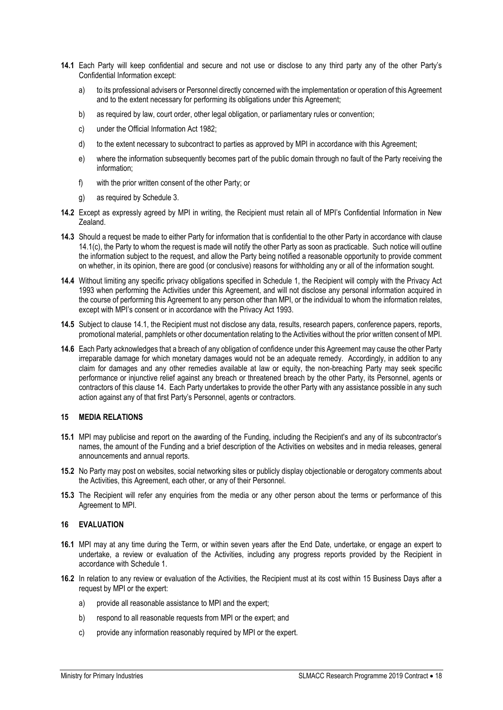- **14.1** Each Party will keep confidential and secure and not use or disclose to any third party any of the other Party's Confidential Information except:
	- a) to its professional advisers or Personnel directly concerned with the implementation or operation of this Agreement and to the extent necessary for performing its obligations under this Agreement;
	- b) as required by law, court order, other legal obligation, or parliamentary rules or convention;
	- c) under the Official Information Act 1982;
	- d) to the extent necessary to subcontract to parties as approved by MPI in accordance with this Agreement;
	- e) where the information subsequently becomes part of the public domain through no fault of the Party receiving the information;
	- f) with the prior written consent of the other Party; or
	- g) as required by Schedule 3.
- **14.2** Except as expressly agreed by MPI in writing, the Recipient must retain all of MPI's Confidential Information in New Zealand.
- **14.3** Should a request be made to either Party for information that is confidential to the other Party in accordance with clause 14.1(c), the Party to whom the request is made will notify the other Party as soon as practicable. Such notice will outline the information subject to the request, and allow the Party being notified a reasonable opportunity to provide comment on whether, in its opinion, there are good (or conclusive) reasons for withholding any or all of the information sought.
- **14.4** Without limiting any specific privacy obligations specified in Schedule 1, the Recipient will comply with the Privacy Act 1993 when performing the Activities under this Agreement, and will not disclose any personal information acquired in the course of performing this Agreement to any person other than MPI, or the individual to whom the information relates, except with MPI's consent or in accordance with the Privacy Act 1993.
- **14.5** Subject to clause 14.1, the Recipient must not disclose any data, results, research papers, conference papers, reports, promotional material, pamphlets or other documentation relating to the Activities without the prior written consent of MPI.
- **14.6** Each Party acknowledges that a breach of any obligation of confidence under this Agreement may cause the other Party irreparable damage for which monetary damages would not be an adequate remedy. Accordingly, in addition to any claim for damages and any other remedies available at law or equity, the non-breaching Party may seek specific performance or injunctive relief against any breach or threatened breach by the other Party, its Personnel, agents or contractors of this clause 14. Each Party undertakes to provide the other Party with any assistance possible in any such action against any of that first Party's Personnel, agents or contractors.

#### **15 MEDIA RELATIONS**

- **15.1** MPI may publicise and report on the awarding of the Funding, including the Recipient's and any of its subcontractor's names, the amount of the Funding and a brief description of the Activities on websites and in media releases, general announcements and annual reports.
- **15.2** No Party may post on websites, social networking sites or publicly display objectionable or derogatory comments about the Activities, this Agreement, each other, or any of their Personnel.
- **15.3** The Recipient will refer any enquiries from the media or any other person about the terms or performance of this Agreement to MPI.

#### **16 EVALUATION**

- **16.1** MPI may at any time during the Term, or within seven years after the End Date, undertake, or engage an expert to undertake, a review or evaluation of the Activities, including any progress reports provided by the Recipient in accordance with Schedule 1.
- **16.2** In relation to any review or evaluation of the Activities, the Recipient must at its cost within 15 Business Days after a request by MPI or the expert:
	- a) provide all reasonable assistance to MPI and the expert;
	- b) respond to all reasonable requests from MPI or the expert; and
	- c) provide any information reasonably required by MPI or the expert.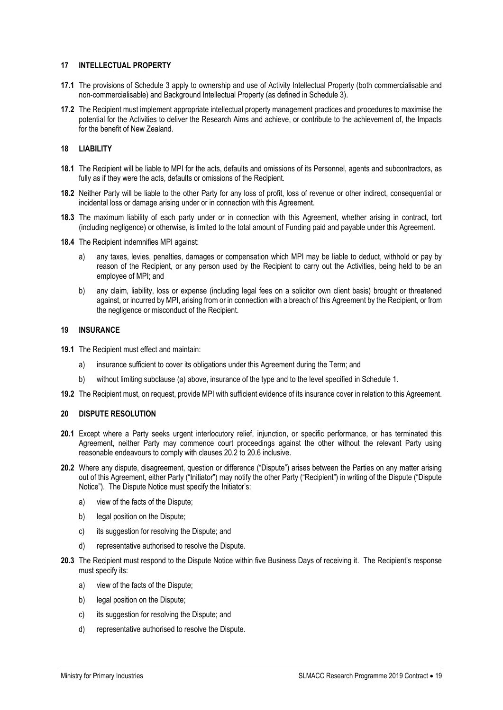#### **17 INTELLECTUAL PROPERTY**

- **17.1** The provisions of Schedule 3 apply to ownership and use of Activity Intellectual Property (both commercialisable and non-commercialisable) and Background Intellectual Property (as defined in Schedule 3).
- **17.2** The Recipient must implement appropriate intellectual property management practices and procedures to maximise the potential for the Activities to deliver the Research Aims and achieve, or contribute to the achievement of, the Impacts for the benefit of New Zealand.

#### **18 LIABILITY**

- **18.1** The Recipient will be liable to MPI for the acts, defaults and omissions of its Personnel, agents and subcontractors, as fully as if they were the acts, defaults or omissions of the Recipient.
- **18.2** Neither Party will be liable to the other Party for any loss of profit, loss of revenue or other indirect, consequential or incidental loss or damage arising under or in connection with this Agreement.
- **18.3** The maximum liability of each party under or in connection with this Agreement, whether arising in contract, tort (including negligence) or otherwise, is limited to the total amount of Funding paid and payable under this Agreement.
- **18.4** The Recipient indemnifies MPI against:
	- a) any taxes, levies, penalties, damages or compensation which MPI may be liable to deduct, withhold or pay by reason of the Recipient, or any person used by the Recipient to carry out the Activities, being held to be an employee of MPI; and
	- b) any claim, liability, loss or expense (including legal fees on a solicitor own client basis) brought or threatened against, or incurred by MPI, arising from or in connection with a breach of this Agreement by the Recipient, or from the negligence or misconduct of the Recipient.

#### **19 INSURANCE**

- **19.1** The Recipient must effect and maintain:
	- a) insurance sufficient to cover its obligations under this Agreement during the Term; and
	- b) without limiting subclause (a) above, insurance of the type and to the level specified in Schedule 1.
- **19.2** The Recipient must, on request, provide MPI with sufficient evidence of its insurance cover in relation to this Agreement.

#### **20 DISPUTE RESOLUTION**

- **20.1** Except where a Party seeks urgent interlocutory relief, injunction, or specific performance, or has terminated this Agreement, neither Party may commence court proceedings against the other without the relevant Party using reasonable endeavours to comply with clauses 20.2 to 20.6 inclusive.
- **20.2** Where any dispute, disagreement, question or difference ("Dispute") arises between the Parties on any matter arising out of this Agreement, either Party ("Initiator") may notify the other Party ("Recipient") in writing of the Dispute ("Dispute Notice"). The Dispute Notice must specify the Initiator's:
	- a) view of the facts of the Dispute;
	- b) legal position on the Dispute;
	- c) its suggestion for resolving the Dispute; and
	- d) representative authorised to resolve the Dispute.
- **20.3** The Recipient must respond to the Dispute Notice within five Business Days of receiving it. The Recipient's response must specify its:
	- a) view of the facts of the Dispute;
	- b) legal position on the Dispute:
	- c) its suggestion for resolving the Dispute; and
	- d) representative authorised to resolve the Dispute.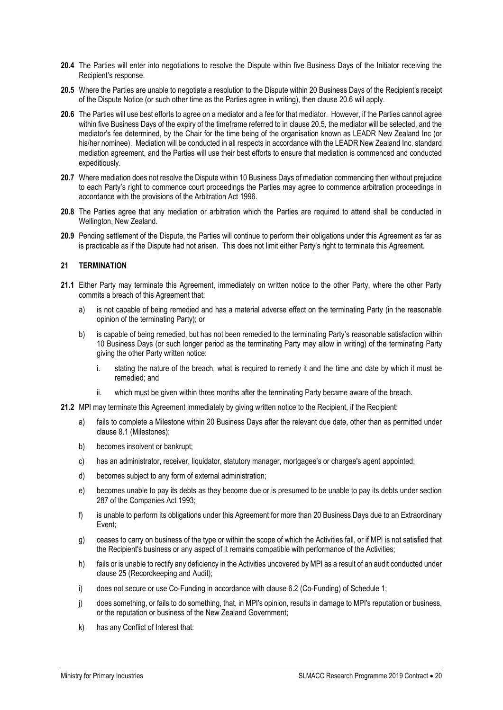- **20.4** The Parties will enter into negotiations to resolve the Dispute within five Business Days of the Initiator receiving the Recipient's response.
- **20.5** Where the Parties are unable to negotiate a resolution to the Dispute within 20 Business Days of the Recipient's receipt of the Dispute Notice (or such other time as the Parties agree in writing), then clause 20.6 will apply.
- **20.6** The Parties will use best efforts to agree on a mediator and a fee for that mediator. However, if the Parties cannot agree within five Business Days of the expiry of the timeframe referred to in clause 20.5, the mediator will be selected, and the mediator's fee determined, by the Chair for the time being of the organisation known as LEADR New Zealand Inc (or his/her nominee). Mediation will be conducted in all respects in accordance with the LEADR New Zealand Inc. standard mediation agreement, and the Parties will use their best efforts to ensure that mediation is commenced and conducted expeditiously.
- **20.7** Where mediation does not resolve the Dispute within 10 Business Days of mediation commencing then without prejudice to each Party's right to commence court proceedings the Parties may agree to commence arbitration proceedings in accordance with the provisions of the Arbitration Act 1996.
- **20.8** The Parties agree that any mediation or arbitration which the Parties are required to attend shall be conducted in Wellington, New Zealand.
- **20.9** Pending settlement of the Dispute, the Parties will continue to perform their obligations under this Agreement as far as is practicable as if the Dispute had not arisen. This does not limit either Party's right to terminate this Agreement.

# **21 TERMINATION**

- **21.1** Either Party may terminate this Agreement, immediately on written notice to the other Party, where the other Party commits a breach of this Agreement that:
	- a) is not capable of being remedied and has a material adverse effect on the terminating Party (in the reasonable opinion of the terminating Party); or
	- b) is capable of being remedied, but has not been remedied to the terminating Party's reasonable satisfaction within 10 Business Days (or such longer period as the terminating Party may allow in writing) of the terminating Party giving the other Party written notice:
		- i. stating the nature of the breach, what is required to remedy it and the time and date by which it must be remedied; and
		- ii. which must be given within three months after the terminating Party became aware of the breach.
- **21.2** MPI may terminate this Agreement immediately by giving written notice to the Recipient, if the Recipient:
	- a) fails to complete a Milestone within 20 Business Days after the relevant due date, other than as permitted under clause 8.1 (Milestones);
	- b) becomes insolvent or bankrupt;
	- c) has an administrator, receiver, liquidator, statutory manager, mortgagee's or chargee's agent appointed;
	- d) becomes subject to any form of external administration;
	- e) becomes unable to pay its debts as they become due or is presumed to be unable to pay its debts under section 287 of the Companies Act 1993;
	- f) is unable to perform its obligations under this Agreement for more than 20 Business Days due to an Extraordinary Event;
	- g) ceases to carry on business of the type or within the scope of which the Activities fall, or if MPI is not satisfied that the Recipient's business or any aspect of it remains compatible with performance of the Activities;
	- h) fails or is unable to rectify any deficiency in the Activities uncovered by MPI as a result of an audit conducted under clause 25 (Recordkeeping and Audit);
	- i) does not secure or use Co-Funding in accordance with clause 6.2 (Co-Funding) of Schedule 1;
	- j) does something, or fails to do something, that, in MPI's opinion, results in damage to MPI's reputation or business, or the reputation or business of the New Zealand Government;
	- k) has any Conflict of Interest that: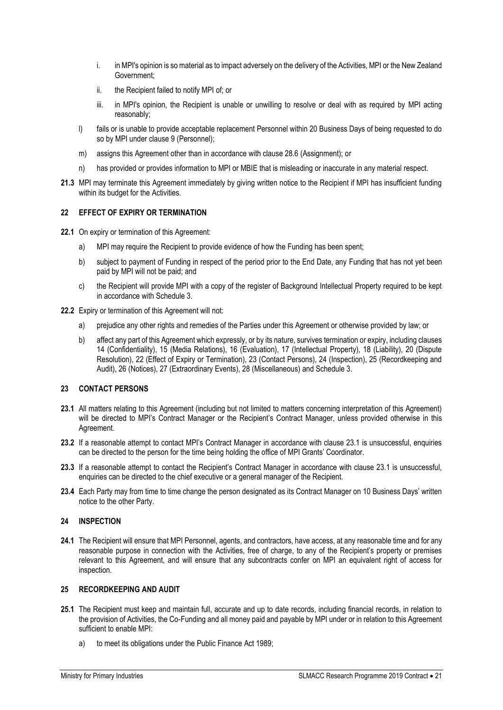- i. in MPI's opinion is so material as to impact adversely on the delivery of the Activities, MPI or the New Zealand Government;
- ii. the Recipient failed to notify MPI of; or
- iii. in MPI's opinion, the Recipient is unable or unwilling to resolve or deal with as required by MPI acting reasonably;
- l) fails or is unable to provide acceptable replacement Personnel within 20 Business Days of being requested to do so by MPI under clause 9 (Personnel);
- m) assigns this Agreement other than in accordance with clause 28.6 (Assignment); or
- n) has provided or provides information to MPI or MBIE that is misleading or inaccurate in any material respect.
- **21.3** MPI may terminate this Agreement immediately by giving written notice to the Recipient if MPI has insufficient funding within its budget for the Activities.

# **22 EFFECT OF EXPIRY OR TERMINATION**

- **22.1** On expiry or termination of this Agreement:
	- a) MPI may require the Recipient to provide evidence of how the Funding has been spent:
	- b) subject to payment of Funding in respect of the period prior to the End Date, any Funding that has not yet been paid by MPI will not be paid; and
	- c) the Recipient will provide MPI with a copy of the register of Background Intellectual Property required to be kept in accordance with Schedule 3.
- **22.2** Expiry or termination of this Agreement will not:
	- a) prejudice any other rights and remedies of the Parties under this Agreement or otherwise provided by law; or
	- b) affect any part of this Agreement which expressly, or by its nature, survives termination or expiry, including clauses 14 (Confidentiality), 15 (Media Relations), 16 (Evaluation), 17 (Intellectual Property), 18 (Liability), 20 (Dispute Resolution), 22 (Effect of Expiry or Termination), 23 (Contact Persons), 24 (Inspection), 25 (Recordkeeping and Audit), 26 (Notices), 27 (Extraordinary Events), 28 (Miscellaneous) and Schedule 3.

# **23 CONTACT PERSONS**

- **23.1** All matters relating to this Agreement (including but not limited to matters concerning interpretation of this Agreement) will be directed to MPI's Contract Manager or the Recipient's Contract Manager, unless provided otherwise in this Agreement.
- **23.2** If a reasonable attempt to contact MPI's Contract Manager in accordance with clause 23.1 is unsuccessful, enquiries can be directed to the person for the time being holding the office of MPI Grants' Coordinator.
- **23.3** If a reasonable attempt to contact the Recipient's Contract Manager in accordance with clause 23.1 is unsuccessful, enquiries can be directed to the chief executive or a general manager of the Recipient.
- **23.4** Each Party may from time to time change the person designated as its Contract Manager on 10 Business Days' written notice to the other Party.

## **24 INSPECTION**

**24.1** The Recipient will ensure that MPI Personnel, agents, and contractors, have access, at any reasonable time and for any reasonable purpose in connection with the Activities, free of charge, to any of the Recipient's property or premises relevant to this Agreement, and will ensure that any subcontracts confer on MPI an equivalent right of access for inspection.

#### **25 RECORDKEEPING AND AUDIT**

- **25.1** The Recipient must keep and maintain full, accurate and up to date records, including financial records, in relation to the provision of Activities, the Co-Funding and all money paid and payable by MPI under or in relation to this Agreement sufficient to enable MPI:
	- a) to meet its obligations under the Public Finance Act 1989;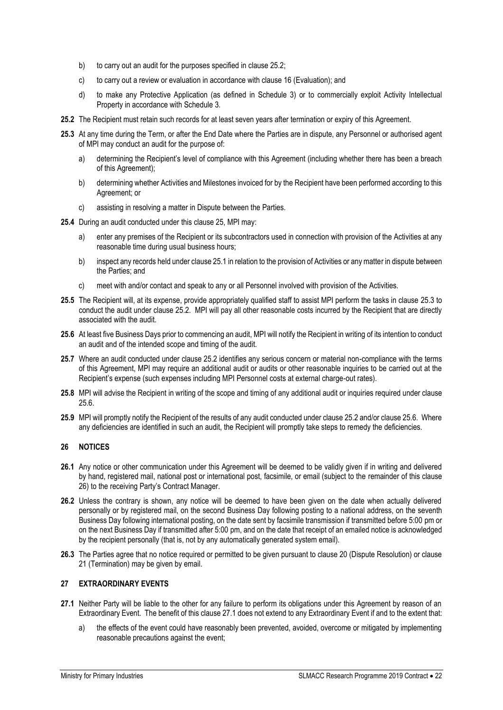- b) to carry out an audit for the purposes specified in clause 25.2;
- c) to carry out a review or evaluation in accordance with clause 16 (Evaluation); and
- d) to make any Protective Application (as defined in Schedule 3) or to commercially exploit Activity Intellectual Property in accordance with Schedule 3.
- **25.2** The Recipient must retain such records for at least seven years after termination or expiry of this Agreement.
- **25.3** At any time during the Term, or after the End Date where the Parties are in dispute, any Personnel or authorised agent of MPI may conduct an audit for the purpose of:
	- a) determining the Recipient's level of compliance with this Agreement (including whether there has been a breach of this Agreement);
	- b) determining whether Activities and Milestones invoiced for by the Recipient have been performed according to this Agreement; or
	- c) assisting in resolving a matter in Dispute between the Parties.
- **25.4** During an audit conducted under this clause 25, MPI may:
	- a) enter any premises of the Recipient or its subcontractors used in connection with provision of the Activities at any reasonable time during usual business hours;
	- b) inspect any records held under clause 25.1 in relation to the provision of Activities or any matter in dispute between the Parties; and
	- c) meet with and/or contact and speak to any or all Personnel involved with provision of the Activities.
- **25.5** The Recipient will, at its expense, provide appropriately qualified staff to assist MPI perform the tasks in clause 25.3 to conduct the audit under clause 25.2. MPI will pay all other reasonable costs incurred by the Recipient that are directly associated with the audit.
- **25.6** At least five Business Days prior to commencing an audit, MPI will notify the Recipient in writing of its intention to conduct an audit and of the intended scope and timing of the audit.
- **25.7** Where an audit conducted under clause 25.2 identifies any serious concern or material non-compliance with the terms of this Agreement, MPI may require an additional audit or audits or other reasonable inquiries to be carried out at the Recipient's expense (such expenses including MPI Personnel costs at external charge-out rates).
- **25.8** MPI will advise the Recipient in writing of the scope and timing of any additional audit or inquiries required under clause 25.6.
- **25.9** MPI will promptly notify the Recipient of the results of any audit conducted under clause 25.2 and/or clause 25.6. Where any deficiencies are identified in such an audit, the Recipient will promptly take steps to remedy the deficiencies.

# **26 NOTICES**

- **26.1** Any notice or other communication under this Agreement will be deemed to be validly given if in writing and delivered by hand, registered mail, national post or international post, facsimile, or email (subject to the remainder of this clause 26) to the receiving Party's Contract Manager.
- **26.2** Unless the contrary is shown, any notice will be deemed to have been given on the date when actually delivered personally or by registered mail, on the second Business Day following posting to a national address, on the seventh Business Day following international posting, on the date sent by facsimile transmission if transmitted before 5:00 pm or on the next Business Day if transmitted after 5:00 pm, and on the date that receipt of an emailed notice is acknowledged by the recipient personally (that is, not by any automatically generated system email).
- **26.3** The Parties agree that no notice required or permitted to be given pursuant to clause 20 (Dispute Resolution) or clause 21 (Termination) may be given by email.

# **27 EXTRAORDINARY EVENTS**

- **27.1** Neither Party will be liable to the other for any failure to perform its obligations under this Agreement by reason of an Extraordinary Event. The benefit of this clause 27.1 does not extend to any Extraordinary Event if and to the extent that:
	- a) the effects of the event could have reasonably been prevented, avoided, overcome or mitigated by implementing reasonable precautions against the event;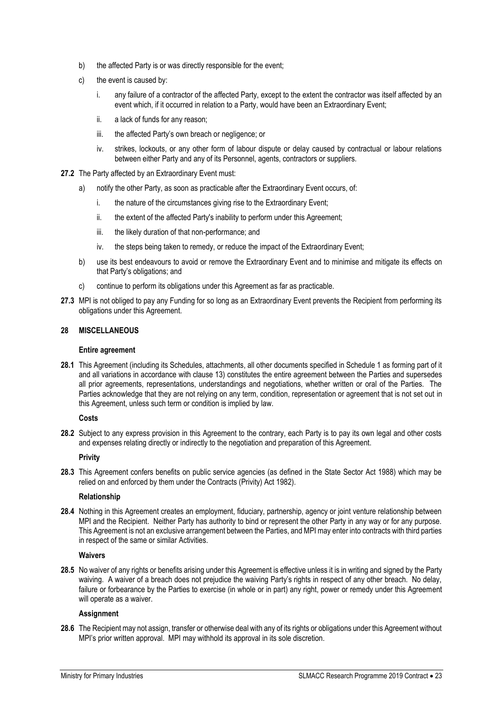- b) the affected Party is or was directly responsible for the event;
- c) the event is caused by:
	- i. any failure of a contractor of the affected Party, except to the extent the contractor was itself affected by an event which, if it occurred in relation to a Party, would have been an Extraordinary Event;
	- ii. a lack of funds for any reason;
	- iii. the affected Party's own breach or negligence; or
	- iv. strikes, lockouts, or any other form of labour dispute or delay caused by contractual or labour relations between either Party and any of its Personnel, agents, contractors or suppliers.
- **27.2** The Party affected by an Extraordinary Event must:
	- a) notify the other Party, as soon as practicable after the Extraordinary Event occurs, of:
		- i. the nature of the circumstances giving rise to the Extraordinary Event;
		- ii. the extent of the affected Party's inability to perform under this Agreement;
		- iii. the likely duration of that non-performance; and
		- iv. the steps being taken to remedy, or reduce the impact of the Extraordinary Event;
	- b) use its best endeavours to avoid or remove the Extraordinary Event and to minimise and mitigate its effects on that Party's obligations; and
	- c) continue to perform its obligations under this Agreement as far as practicable.
- **27.3** MPI is not obliged to pay any Funding for so long as an Extraordinary Event prevents the Recipient from performing its obligations under this Agreement.

# **28 MISCELLANEOUS**

#### **Entire agreement**

**28.1** This Agreement (including its Schedules, attachments, all other documents specified in Schedule 1 as forming part of it and all variations in accordance with clause 13) constitutes the entire agreement between the Parties and supersedes all prior agreements, representations, understandings and negotiations, whether written or oral of the Parties. The Parties acknowledge that they are not relying on any term, condition, representation or agreement that is not set out in this Agreement, unless such term or condition is implied by law.

#### **Costs**

**28.2** Subject to any express provision in this Agreement to the contrary, each Party is to pay its own legal and other costs and expenses relating directly or indirectly to the negotiation and preparation of this Agreement.

# **Privity**

**28.3** This Agreement confers benefits on public service agencies (as defined in the State Sector Act 1988) which may be relied on and enforced by them under the Contracts (Privity) Act 1982).

#### **Relationship**

**28.4** Nothing in this Agreement creates an employment, fiduciary, partnership, agency or joint venture relationship between MPI and the Recipient. Neither Party has authority to bind or represent the other Party in any way or for any purpose. This Agreement is not an exclusive arrangement between the Parties, and MPI may enter into contracts with third parties in respect of the same or similar Activities.

# **Waivers**

**28.5** No waiver of any rights or benefits arising under this Agreement is effective unless it is in writing and signed by the Party waiving. A waiver of a breach does not prejudice the waiving Party's rights in respect of any other breach. No delay, failure or forbearance by the Parties to exercise (in whole or in part) any right, power or remedy under this Agreement will operate as a waiver.

#### **Assignment**

**28.6** The Recipient may not assign, transfer or otherwise deal with any of its rights or obligations under this Agreement without MPI's prior written approval. MPI may withhold its approval in its sole discretion.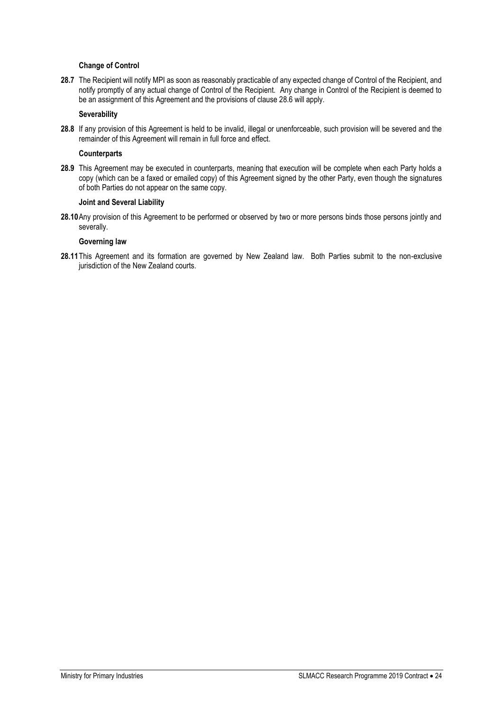## **Change of Control**

**28.7** The Recipient will notify MPI as soon as reasonably practicable of any expected change of Control of the Recipient, and notify promptly of any actual change of Control of the Recipient. Any change in Control of the Recipient is deemed to be an assignment of this Agreement and the provisions of clause 28.6 will apply.

#### **Severability**

**28.8** If any provision of this Agreement is held to be invalid, illegal or unenforceable, such provision will be severed and the remainder of this Agreement will remain in full force and effect.

#### **Counterparts**

**28.9** This Agreement may be executed in counterparts, meaning that execution will be complete when each Party holds a copy (which can be a faxed or emailed copy) of this Agreement signed by the other Party, even though the signatures of both Parties do not appear on the same copy.

#### **Joint and Several Liability**

**28.10**Any provision of this Agreement to be performed or observed by two or more persons binds those persons jointly and severally.

#### **Governing law**

**28.11**This Agreement and its formation are governed by New Zealand law. Both Parties submit to the non-exclusive jurisdiction of the New Zealand courts.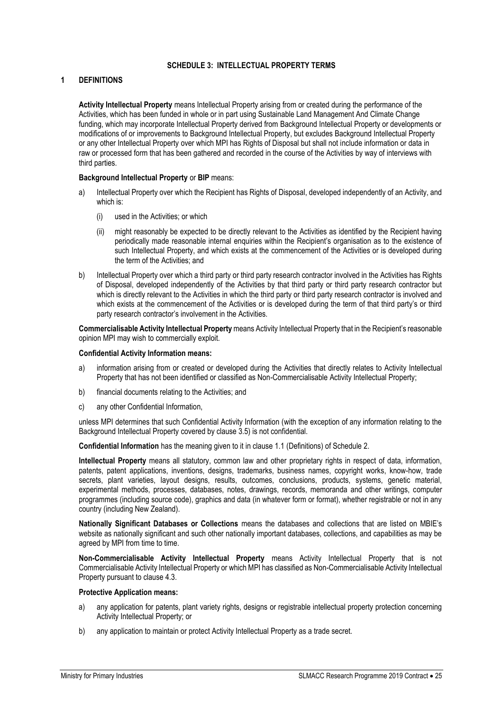# **SCHEDULE 3: INTELLECTUAL PROPERTY TERMS**

# <span id="page-24-0"></span>**1 DEFINITIONS**

**Activity Intellectual Property** means Intellectual Property arising from or created during the performance of the Activities, which has been funded in whole or in part using Sustainable Land Management And Climate Change funding, which may incorporate Intellectual Property derived from Background Intellectual Property or developments or modifications of or improvements to Background Intellectual Property, but excludes Background Intellectual Property or any other Intellectual Property over which MPI has Rights of Disposal but shall not include information or data in raw or processed form that has been gathered and recorded in the course of the Activities by way of interviews with third parties.

#### **Background Intellectual Property** or **BIP** means:

- a) Intellectual Property over which the Recipient has Rights of Disposal, developed independently of an Activity, and which is:
	- (i) used in the Activities; or which
	- (ii) might reasonably be expected to be directly relevant to the Activities as identified by the Recipient having periodically made reasonable internal enquiries within the Recipient's organisation as to the existence of such Intellectual Property, and which exists at the commencement of the Activities or is developed during the term of the Activities; and
- b) Intellectual Property over which a third party or third party research contractor involved in the Activities has Rights of Disposal, developed independently of the Activities by that third party or third party research contractor but which is directly relevant to the Activities in which the third party or third party research contractor is involved and which exists at the commencement of the Activities or is developed during the term of that third party's or third party research contractor's involvement in the Activities.

**Commercialisable Activity Intellectual Property** means Activity Intellectual Property that in the Recipient's reasonable opinion MPI may wish to commercially exploit.

#### **Confidential Activity Information means:**

- a) information arising from or created or developed during the Activities that directly relates to Activity Intellectual Property that has not been identified or classified as Non-Commercialisable Activity Intellectual Property;
- b) financial documents relating to the Activities; and
- c) any other Confidential Information,

unless MPI determines that such Confidential Activity Information (with the exception of any information relating to the Background Intellectual Property covered by clause 3.5) is not confidential.

**Confidential Information** has the meaning given to it in clause 1.1 (Definitions) of Schedule 2.

**Intellectual Property** means all statutory, common law and other proprietary rights in respect of data, information, patents, patent applications, inventions, designs, trademarks, business names, copyright works, know-how, trade secrets, plant varieties, layout designs, results, outcomes, conclusions, products, systems, genetic material, experimental methods, processes, databases, notes, drawings, records, memoranda and other writings, computer programmes (including source code), graphics and data (in whatever form or format), whether registrable or not in any country (including New Zealand).

**Nationally Significant Databases or Collections** means the databases and collections that are listed on MBIE's website as nationally significant and such other nationally important databases, collections, and capabilities as may be agreed by MPI from time to time.

**Non-Commercialisable Activity Intellectual Property** means Activity Intellectual Property that is not Commercialisable Activity Intellectual Property or which MPI has classified as Non-Commercialisable Activity Intellectual Property pursuant to clause 4.3.

#### **Protective Application means:**

- a) any application for patents, plant variety rights, designs or registrable intellectual property protection concerning Activity Intellectual Property; or
- b) any application to maintain or protect Activity Intellectual Property as a trade secret.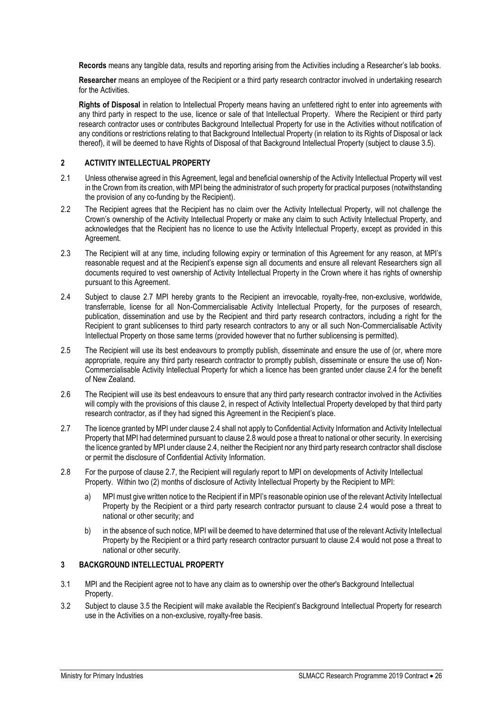**Records** means any tangible data, results and reporting arising from the Activities including a Researcher's lab books.

**Researcher** means an employee of the Recipient or a third party research contractor involved in undertaking research for the Activities.

**Rights of Disposal** in relation to Intellectual Property means having an unfettered right to enter into agreements with any third party in respect to the use, licence or sale of that Intellectual Property. Where the Recipient or third party research contractor uses or contributes Background Intellectual Property for use in the Activities without notification of any conditions or restrictions relating to that Background Intellectual Property (in relation to its Rights of Disposal or lack thereof), it will be deemed to have Rights of Disposal of that Background Intellectual Property (subject to clause 3.5).

# **2 ACTIVITY INTELLECTUAL PROPERTY**

- 2.1 Unless otherwise agreed in this Agreement, legal and beneficial ownership of the Activity Intellectual Property will vest in the Crown from its creation, with MPI being the administrator of such property for practical purposes (notwithstanding the provision of any co-funding by the Recipient).
- 2.2 The Recipient agrees that the Recipient has no claim over the Activity Intellectual Property, will not challenge the Crown's ownership of the Activity Intellectual Property or make any claim to such Activity Intellectual Property, and acknowledges that the Recipient has no licence to use the Activity Intellectual Property, except as provided in this Agreement.
- 2.3 The Recipient will at any time, including following expiry or termination of this Agreement for any reason, at MPI's reasonable request and at the Recipient's expense sign all documents and ensure all relevant Researchers sign all documents required to vest ownership of Activity Intellectual Property in the Crown where it has rights of ownership pursuant to this Agreement.
- 2.4 Subject to clause 2.7 MPI hereby grants to the Recipient an irrevocable, royalty-free, non-exclusive, worldwide, transferrable, license for all Non-Commercialisable Activity Intellectual Property, for the purposes of research, publication, dissemination and use by the Recipient and third party research contractors, including a right for the Recipient to grant sublicenses to third party research contractors to any or all such Non-Commercialisable Activity Intellectual Property on those same terms (provided however that no further sublicensing is permitted).
- 2.5 The Recipient will use its best endeavours to promptly publish, disseminate and ensure the use of (or, where more appropriate, require any third party research contractor to promptly publish, disseminate or ensure the use of) Non-Commercialisable Activity Intellectual Property for which a licence has been granted under clause 2.4 for the benefit of New Zealand.
- 2.6 The Recipient will use its best endeavours to ensure that any third party research contractor involved in the Activities will comply with the provisions of this clause 2, in respect of Activity Intellectual Property developed by that third party research contractor, as if they had signed this Agreement in the Recipient's place.
- 2.7 The licence granted by MPI under clause 2.4 shall not apply to Confidential Activity Information and Activity Intellectual Property that MPI had determined pursuant to clause 2.8 would pose a threat to national or other security. In exercising the licence granted by MPI under clause 2.4, neither the Recipient nor any third party research contractor shall disclose or permit the disclosure of Confidential Activity Information.
- 2.8 For the purpose of clause 2.7, the Recipient will regularly report to MPI on developments of Activity Intellectual Property. Within two (2) months of disclosure of Activity Intellectual Property by the Recipient to MPI:
	- a) MPI must give written notice to the Recipient if in MPI's reasonable opinion use of the relevant Activity Intellectual Property by the Recipient or a third party research contractor pursuant to clause 2.4 would pose a threat to national or other security; and
	- b) in the absence of such notice, MPI will be deemed to have determined that use of the relevant Activity Intellectual Property by the Recipient or a third party research contractor pursuant to clause 2.4 would not pose a threat to national or other security.

# **3 BACKGROUND INTELLECTUAL PROPERTY**

- 3.1 MPI and the Recipient agree not to have any claim as to ownership over the other's Background Intellectual Property.
- 3.2 Subject to clause 3.5 the Recipient will make available the Recipient's Background Intellectual Property for research use in the Activities on a non-exclusive, royalty-free basis.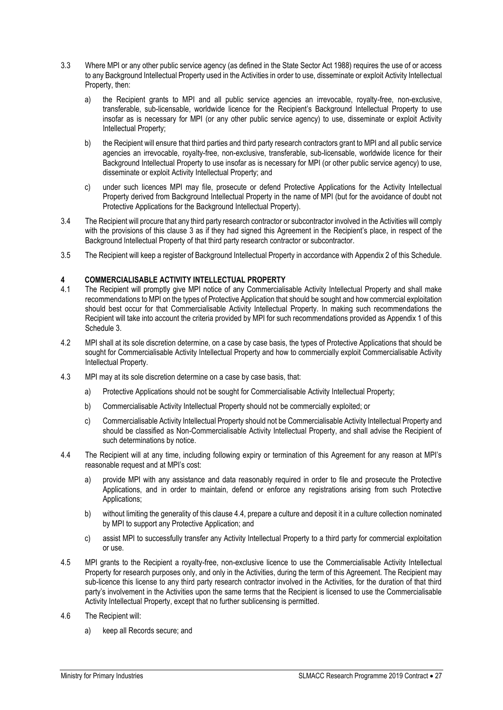- 3.3 Where MPI or any other public service agency (as defined in the State Sector Act 1988) requires the use of or access to any Background Intellectual Property used in the Activities in order to use, disseminate or exploit Activity Intellectual Property, then:
	- a) the Recipient grants to MPI and all public service agencies an irrevocable, royalty-free, non-exclusive, transferable, sub-licensable, worldwide licence for the Recipient's Background Intellectual Property to use insofar as is necessary for MPI (or any other public service agency) to use, disseminate or exploit Activity Intellectual Property;
	- b) the Recipient will ensure that third parties and third party research contractors grant to MPI and all public service agencies an irrevocable, royalty-free, non-exclusive, transferable, sub-licensable, worldwide licence for their Background Intellectual Property to use insofar as is necessary for MPI (or other public service agency) to use, disseminate or exploit Activity Intellectual Property; and
	- c) under such licences MPI may file, prosecute or defend Protective Applications for the Activity Intellectual Property derived from Background Intellectual Property in the name of MPI (but for the avoidance of doubt not Protective Applications for the Background Intellectual Property).
- 3.4 The Recipient will procure that any third party research contractor or subcontractor involved in the Activities will comply with the provisions of this clause 3 as if they had signed this Agreement in the Recipient's place, in respect of the Background Intellectual Property of that third party research contractor or subcontractor.
- 3.5 The Recipient will keep a register of Background Intellectual Property in accordance with Appendix 2 of this Schedule.

# **4 COMMERCIALISABLE ACTIVITY INTELLECTUAL PROPERTY**

- 4.1 The Recipient will promptly give MPI notice of any Commercialisable Activity Intellectual Property and shall make recommendations to MPI on the types of Protective Application that should be sought and how commercial exploitation should best occur for that Commercialisable Activity Intellectual Property. In making such recommendations the Recipient will take into account the criteria provided by MPI for such recommendations provided as Appendix 1 of this Schedule 3.
- 4.2 MPI shall at its sole discretion determine, on a case by case basis, the types of Protective Applications that should be sought for Commercialisable Activity Intellectual Property and how to commercially exploit Commercialisable Activity Intellectual Property.
- 4.3 MPI may at its sole discretion determine on a case by case basis, that:
	- a) Protective Applications should not be sought for Commercialisable Activity Intellectual Property;
	- b) Commercialisable Activity Intellectual Property should not be commercially exploited; or
	- c) Commercialisable Activity Intellectual Property should not be Commercialisable Activity Intellectual Property and should be classified as Non-Commercialisable Activity Intellectual Property, and shall advise the Recipient of such determinations by notice.
- 4.4 The Recipient will at any time, including following expiry or termination of this Agreement for any reason at MPI's reasonable request and at MPI's cost:
	- a) provide MPI with any assistance and data reasonably required in order to file and prosecute the Protective Applications, and in order to maintain, defend or enforce any registrations arising from such Protective Applications;
	- b) without limiting the generality of this clause 4.4, prepare a culture and deposit it in a culture collection nominated by MPI to support any Protective Application; and
	- c) assist MPI to successfully transfer any Activity Intellectual Property to a third party for commercial exploitation or use.
- 4.5 MPI grants to the Recipient a royalty-free, non-exclusive licence to use the Commercialisable Activity Intellectual Property for research purposes only, and only in the Activities, during the term of this Agreement. The Recipient may sub-licence this license to any third party research contractor involved in the Activities, for the duration of that third party's involvement in the Activities upon the same terms that the Recipient is licensed to use the Commercialisable Activity Intellectual Property, except that no further sublicensing is permitted.
- 4.6 The Recipient will:
	- a) keep all Records secure; and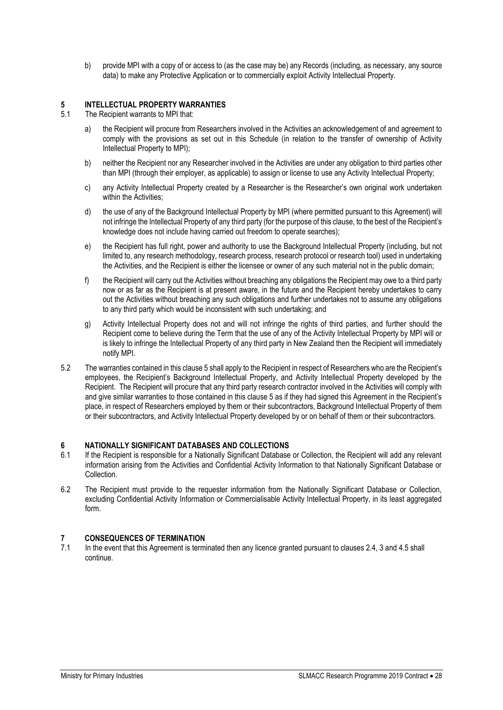b) provide MPI with a copy of or access to (as the case may be) any Records (including, as necessary, any source data) to make any Protective Application or to commercially exploit Activity Intellectual Property.

# **5 INTELLECTUAL PROPERTY WARRANTIES**

- The Recipient warrants to MPI that:
	- a) the Recipient will procure from Researchers involved in the Activities an acknowledgement of and agreement to comply with the provisions as set out in this Schedule (in relation to the transfer of ownership of Activity Intellectual Property to MPI);
	- b) neither the Recipient nor any Researcher involved in the Activities are under any obligation to third parties other than MPI (through their employer, as applicable) to assign or license to use any Activity Intellectual Property;
	- c) any Activity Intellectual Property created by a Researcher is the Researcher's own original work undertaken within the Activities:
	- d) the use of any of the Background Intellectual Property by MPI (where permitted pursuant to this Agreement) will not infringe the Intellectual Property of any third party (for the purpose of this clause, to the best of the Recipient's knowledge does not include having carried out freedom to operate searches);
	- e) the Recipient has full right, power and authority to use the Background Intellectual Property (including, but not limited to, any research methodology, research process, research protocol or research tool) used in undertaking the Activities, and the Recipient is either the licensee or owner of any such material not in the public domain;
	- f) the Recipient will carry out the Activities without breaching any obligations the Recipient may owe to a third party now or as far as the Recipient is at present aware, in the future and the Recipient hereby undertakes to carry out the Activities without breaching any such obligations and further undertakes not to assume any obligations to any third party which would be inconsistent with such undertaking; and
	- g) Activity Intellectual Property does not and will not infringe the rights of third parties, and further should the Recipient come to believe during the Term that the use of any of the Activity Intellectual Property by MPI will or is likely to infringe the Intellectual Property of any third party in New Zealand then the Recipient will immediately notify MPI.
- 5.2 The warranties contained in this clause 5 shall apply to the Recipient in respect of Researchers who are the Recipient's employees, the Recipient's Background Intellectual Property, and Activity Intellectual Property developed by the Recipient. The Recipient will procure that any third party research contractor involved in the Activities will comply with and give similar warranties to those contained in this clause 5 as if they had signed this Agreement in the Recipient's place, in respect of Researchers employed by them or their subcontractors, Background Intellectual Property of them or their subcontractors, and Activity Intellectual Property developed by or on behalf of them or their subcontractors.

# **6 NATIONALLY SIGNIFICANT DATABASES AND COLLECTIONS**

- 6.1 If the Recipient is responsible for a Nationally Significant Database or Collection, the Recipient will add any relevant information arising from the Activities and Confidential Activity Information to that Nationally Significant Database or Collection.
- 6.2 The Recipient must provide to the requester information from the Nationally Significant Database or Collection, excluding Confidential Activity Information or Commercialisable Activity Intellectual Property, in its least aggregated form.

# **7 CONSEQUENCES OF TERMINATION**

7.1 In the event that this Agreement is terminated then any licence granted pursuant to clauses 2.4, 3 and 4.5 shall continue.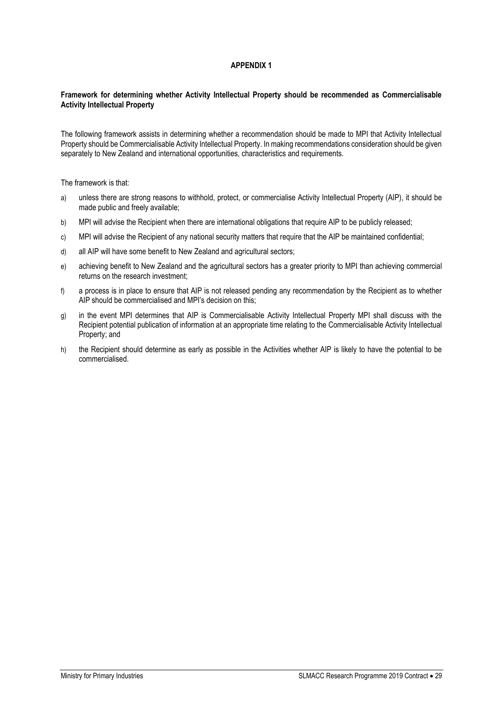# **APPENDIX 1**

#### <span id="page-28-0"></span>**Framework for determining whether Activity Intellectual Property should be recommended as Commercialisable Activity Intellectual Property**

The following framework assists in determining whether a recommendation should be made to MPI that Activity Intellectual Property should be Commercialisable Activity Intellectual Property. In making recommendations consideration should be given separately to New Zealand and international opportunities, characteristics and requirements.

The framework is that:

- a) unless there are strong reasons to withhold, protect, or commercialise Activity Intellectual Property (AIP), it should be made public and freely available;
- b) MPI will advise the Recipient when there are international obligations that require AIP to be publicly released;
- c) MPI will advise the Recipient of any national security matters that require that the AIP be maintained confidential;
- d) all AIP will have some benefit to New Zealand and agricultural sectors;
- e) achieving benefit to New Zealand and the agricultural sectors has a greater priority to MPI than achieving commercial returns on the research investment;
- f) a process is in place to ensure that AIP is not released pending any recommendation by the Recipient as to whether AIP should be commercialised and MPI's decision on this;
- g) in the event MPI determines that AIP is Commercialisable Activity Intellectual Property MPI shall discuss with the Recipient potential publication of information at an appropriate time relating to the Commercialisable Activity Intellectual Property; and
- h) the Recipient should determine as early as possible in the Activities whether AIP is likely to have the potential to be commercialised.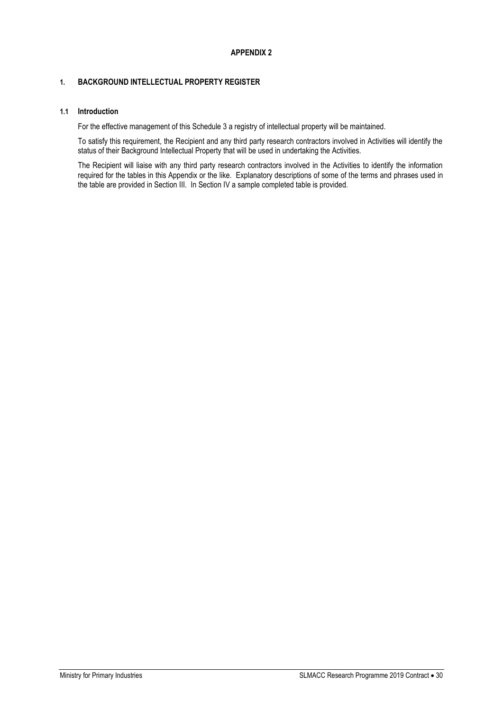# <span id="page-29-0"></span>**1. BACKGROUND INTELLECTUAL PROPERTY REGISTER**

# **1.1 Introduction**

For the effective management of this Schedule 3 a registry of intellectual property will be maintained.

To satisfy this requirement, the Recipient and any third party research contractors involved in Activities will identify the status of their Background Intellectual Property that will be used in undertaking the Activities.

The Recipient will liaise with any third party research contractors involved in the Activities to identify the information required for the tables in this Appendix or the like. Explanatory descriptions of some of the terms and phrases used in the table are provided in Section III. In Section IV a sample completed table is provided.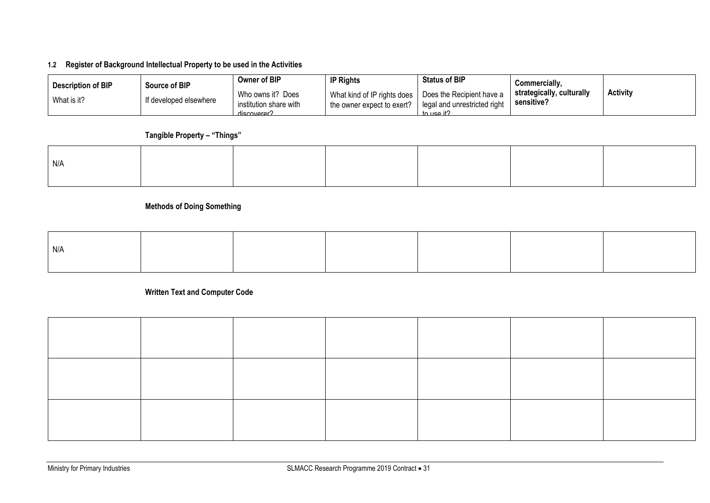# **1.2 Register of Background Intellectual Property to be used in the Activities**

| <b>Description of BIP</b> | Source of BIP          | Owner of BIP                                               | <b>IP Rights</b>                                          | <b>Status of BIP</b>                                                    | Commercially.                           |                 |
|---------------------------|------------------------|------------------------------------------------------------|-----------------------------------------------------------|-------------------------------------------------------------------------|-----------------------------------------|-----------------|
| What is it?               | If developed elsewhere | Who owns it? Does<br>institution share with<br>discoverer? | What kind of IP rights does<br>the owner expect to exert? | Does the Recipient have a<br>legal and unrestricted right<br>to பse it? | strategically, culturally<br>sensitive? | <b>Activity</b> |

# **Tangible Property – "Things"**

| N/A |  |  |  |
|-----|--|--|--|
|     |  |  |  |
|     |  |  |  |
|     |  |  |  |

# **Methods of Doing Something**

| N/f |  |  |  |
|-----|--|--|--|

**Written Text and Computer Code**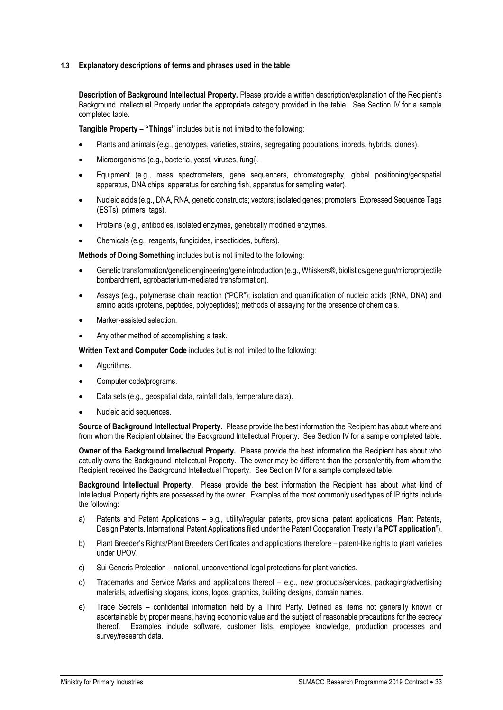#### **1.3 Explanatory descriptions of terms and phrases used in the table**

**Description of Background Intellectual Property.** Please provide a written description/explanation of the Recipient's Background Intellectual Property under the appropriate category provided in the table. See Section IV for a sample completed table.

**Tangible Property – "Things"** includes but is not limited to the following:

- Plants and animals (e.g., genotypes, varieties, strains, segregating populations, inbreds, hybrids, clones).
- Microorganisms (e.g., bacteria, yeast, viruses, fungi).
- Equipment (e.g., mass spectrometers, gene sequencers, chromatography, global positioning/geospatial apparatus, DNA chips, apparatus for catching fish, apparatus for sampling water).
- Nucleic acids (e.g., DNA, RNA, genetic constructs; vectors; isolated genes; promoters; Expressed Sequence Tags (ESTs), primers, tags).
- Proteins (e.g., antibodies, isolated enzymes, genetically modified enzymes.
- Chemicals (e.g., reagents, fungicides, insecticides, buffers).

**Methods of Doing Something** includes but is not limited to the following:

- Genetic transformation/genetic engineering/gene introduction (e.g., Whiskers®, biolistics/gene gun/microprojectile bombardment, agrobacterium-mediated transformation).
- Assays (e.g., polymerase chain reaction ("PCR"); isolation and quantification of nucleic acids (RNA, DNA) and amino acids (proteins, peptides, polypeptides); methods of assaying for the presence of chemicals.
- Marker-assisted selection.
- Any other method of accomplishing a task.

**Written Text and Computer Code** includes but is not limited to the following:

- Algorithms.
- Computer code/programs.
- Data sets (e.g., geospatial data, rainfall data, temperature data).
- Nucleic acid sequences.

**Source of Background Intellectual Property.** Please provide the best information the Recipient has about where and from whom the Recipient obtained the Background Intellectual Property. See Section IV for a sample completed table.

**Owner of the Background Intellectual Property.** Please provide the best information the Recipient has about who actually owns the Background Intellectual Property. The owner may be different than the person/entity from whom the Recipient received the Background Intellectual Property. See Section IV for a sample completed table.

**Background Intellectual Property**. Please provide the best information the Recipient has about what kind of Intellectual Property rights are possessed by the owner. Examples of the most commonly used types of IP rights include the following:

- a) Patents and Patent Applications e.g., utility/regular patents, provisional patent applications, Plant Patents, Design Patents, International Patent Applications filed under the Patent Cooperation Treaty ("**a PCT application**").
- b) Plant Breeder's Rights/Plant Breeders Certificates and applications therefore patent-like rights to plant varieties under UPOV.
- c) Sui Generis Protection national, unconventional legal protections for plant varieties.
- d) Trademarks and Service Marks and applications thereof e.g., new products/services, packaging/advertising materials, advertising slogans, icons, logos, graphics, building designs, domain names.
- e) Trade Secrets confidential information held by a Third Party. Defined as items not generally known or ascertainable by proper means, having economic value and the subject of reasonable precautions for the secrecy thereof. Examples include software, customer lists, employee knowledge, production processes and survey/research data.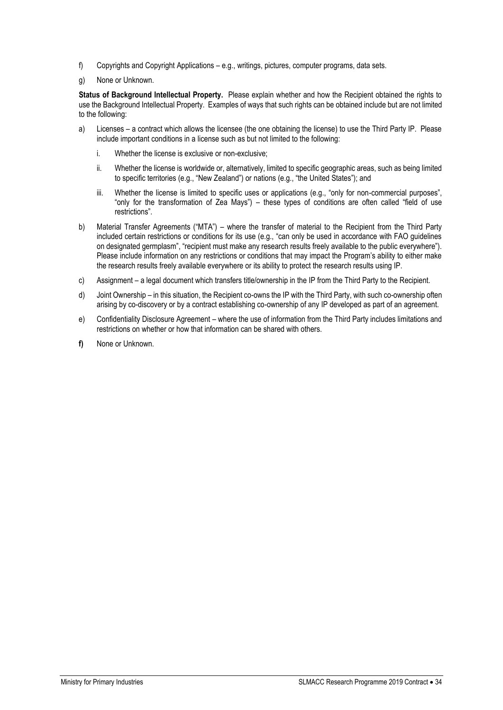- f) Copyrights and Copyright Applications e.g., writings, pictures, computer programs, data sets.
- g) None or Unknown.

**Status of Background Intellectual Property.** Please explain whether and how the Recipient obtained the rights to use the Background Intellectual Property. Examples of ways that such rights can be obtained include but are not limited to the following:

- a) Licenses a contract which allows the licensee (the one obtaining the license) to use the Third Party IP. Please include important conditions in a license such as but not limited to the following:
	- i. Whether the license is exclusive or non-exclusive;
	- ii. Whether the license is worldwide or, alternatively, limited to specific geographic areas, such as being limited to specific territories (e.g., "New Zealand") or nations (e.g., "the United States"); and
	- iii. Whether the license is limited to specific uses or applications (e.g., "only for non-commercial purposes", "only for the transformation of Zea Mays") – these types of conditions are often called "field of use restrictions".
- b) Material Transfer Agreements ("MTA") where the transfer of material to the Recipient from the Third Party included certain restrictions or conditions for its use (e.g., "can only be used in accordance with FAO guidelines on designated germplasm", "recipient must make any research results freely available to the public everywhere"). Please include information on any restrictions or conditions that may impact the Program's ability to either make the research results freely available everywhere or its ability to protect the research results using IP.
- c) Assignment a legal document which transfers title/ownership in the IP from the Third Party to the Recipient.
- d) Joint Ownership in this situation, the Recipient co-owns the IP with the Third Party, with such co-ownership often arising by co-discovery or by a contract establishing co-ownership of any IP developed as part of an agreement.
- e) Confidentiality Disclosure Agreement where the use of information from the Third Party includes limitations and restrictions on whether or how that information can be shared with others.
- **f)** None or Unknown.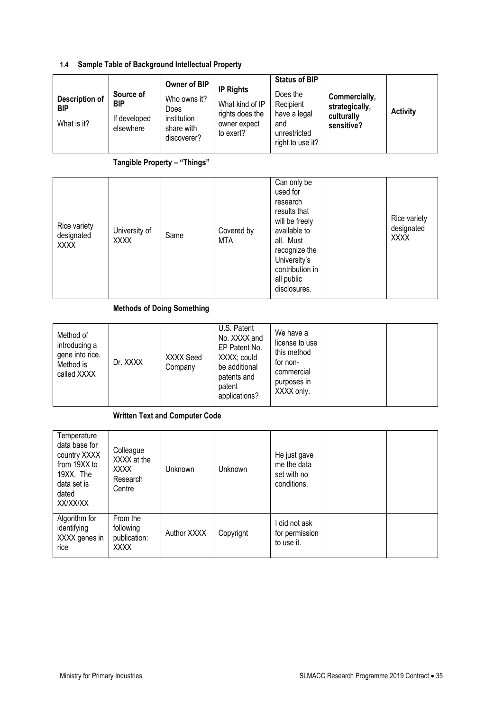# **1.4 Sample Table of Background Intellectual Property**

| Description of<br><b>BIP</b><br>What is it? | Source of<br><b>BIP</b><br>If developed<br>elsewhere | Owner of BIP<br>Who owns it?<br><b>Does</b><br>institution<br>share with<br>discoverer? | <b>IP Rights</b><br>What kind of IP<br>rights does the<br>owner expect<br>to exert? | <b>Status of BIP</b><br>Does the<br>Recipient<br>have a legal<br>and<br>unrestricted<br>right to use it? | Commercially,<br>strategically,<br>culturally<br>sensitive? | <b>Activity</b> |
|---------------------------------------------|------------------------------------------------------|-----------------------------------------------------------------------------------------|-------------------------------------------------------------------------------------|----------------------------------------------------------------------------------------------------------|-------------------------------------------------------------|-----------------|
|---------------------------------------------|------------------------------------------------------|-----------------------------------------------------------------------------------------|-------------------------------------------------------------------------------------|----------------------------------------------------------------------------------------------------------|-------------------------------------------------------------|-----------------|

# **Tangible Property – "Things"**

| Rice variety<br>designated<br><b>XXXX</b> | University of<br><b>XXXX</b> | Same | Covered by<br><b>MTA</b> | Can only be<br>used for<br>research<br>results that<br>will be freely<br>available to<br>all. Must<br>recognize the<br>University's<br>contribution in<br>all public<br>disclosures. |  | Rice variety<br>designated<br><b>XXXX</b> |
|-------------------------------------------|------------------------------|------|--------------------------|--------------------------------------------------------------------------------------------------------------------------------------------------------------------------------------|--|-------------------------------------------|
|-------------------------------------------|------------------------------|------|--------------------------|--------------------------------------------------------------------------------------------------------------------------------------------------------------------------------------|--|-------------------------------------------|

**Methods of Doing Something**

| Method of<br>introducing a<br>gene into rice.<br>Method is<br>called XXXX | Dr. XXXX | XXXX Seed<br>Company | U.S. Patent<br>No. XXXX and<br>EP Patent No.<br>XXXX; could<br>be additional<br>patents and<br>patent<br>applications? | We have a<br>license to use<br>this method<br>for non-<br>commercial<br>purposes in<br>XXXX only. |  |  |
|---------------------------------------------------------------------------|----------|----------------------|------------------------------------------------------------------------------------------------------------------------|---------------------------------------------------------------------------------------------------|--|--|
|---------------------------------------------------------------------------|----------|----------------------|------------------------------------------------------------------------------------------------------------------------|---------------------------------------------------------------------------------------------------|--|--|

# **Written Text and Computer Code**

| Temperature<br>data base for<br>country XXXX<br>from 19XX to<br>19XX. The<br>data set is<br>dated<br>XX/XX/XX | Colleague<br>XXXX at the<br><b>XXXX</b><br>Research<br>Centre | <b>Unknown</b> | Unknown   | He just gave<br>me the data<br>set with no<br>conditions. |  |
|---------------------------------------------------------------------------------------------------------------|---------------------------------------------------------------|----------------|-----------|-----------------------------------------------------------|--|
| Algorithm for<br>identifying<br>XXXX genes in<br>rice                                                         | From the<br>following<br>publication:<br><b>XXXX</b>          | Author XXXX    | Copyright | did not ask<br>for permission<br>to use it.               |  |